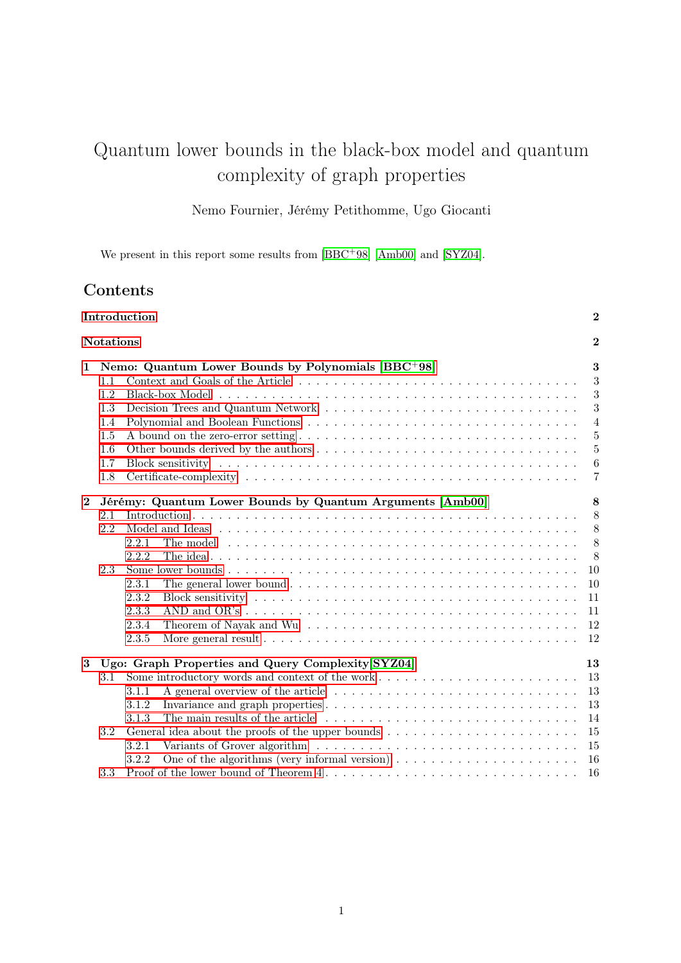# Quantum lower bounds in the black-box model and quantum complexity of graph properties

Nemo Fournier, Jérémy Petithomme, Ugo Giocanti

We present in this report some results from  $[BBC+98]$  $[BBC+98]$  [\[Amb00\]](#page-17-1) and [\[SYZ04\]](#page-17-2).

# Contents

| Introduction<br><b>Notations</b> |                   |                                                                                                                                                                                                                                                                                                                                                                        | $\boldsymbol{2}$<br>$\bf{2}$                              |
|----------------------------------|-------------------|------------------------------------------------------------------------------------------------------------------------------------------------------------------------------------------------------------------------------------------------------------------------------------------------------------------------------------------------------------------------|-----------------------------------------------------------|
|                                  |                   |                                                                                                                                                                                                                                                                                                                                                                        |                                                           |
| $\mathbf{2}$                     | 2.1<br>2.2<br>2.3 | Jérémy: Quantum Lower Bounds by Quantum Arguments [Amb00]<br>2.2.1<br>2.2.2<br>2.3.1<br>2.3.2<br>2.3.3<br>2.3.4<br>2.3.5                                                                                                                                                                                                                                               | 8<br>8<br>8<br>8<br>8<br>10<br>10<br>11<br>11<br>12<br>12 |
| 3                                | 3.1<br>3.2        | Ugo: Graph Properties and Query Complexity [SYZ04]<br>3.1.1<br>3.1.2<br>3.1.3<br>General idea about the proofs of the upper bounds<br>$\hfill\ldots$ $\hfill\ldots$ $\hfill\ldots$<br>$\hfill\ldots$ $\hfill\ldots$ $\hfill\ldots$ $\hfill\ldots$<br>3.2.1<br>One of the algorithms (very informal version) $\dots \dots \dots \dots \dots \dots \dots \dots$<br>3.2.2 | 13<br>13<br>13<br>13<br>14<br>15<br>15<br>16              |
|                                  | 3.3               |                                                                                                                                                                                                                                                                                                                                                                        | 16                                                        |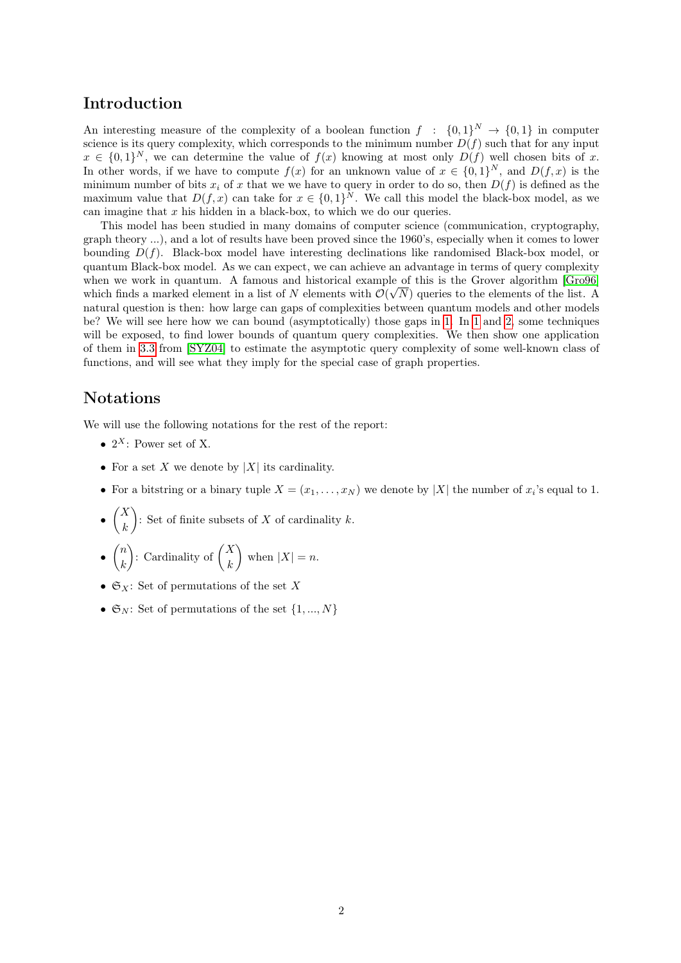# <span id="page-1-0"></span>Introduction

An interesting measure of the complexity of a boolean function  $f : \{0,1\}^N \to \{0,1\}$  in computer science is its query complexity, which corresponds to the minimum number  $D(f)$  such that for any input  $x \in \{0,1\}^N$ , we can determine the value of  $f(x)$  knowing at most only  $D(f)$  well chosen bits of x. In other words, if we have to compute  $f(x)$  for an unknown value of  $x \in \{0,1\}^N$ , and  $D(f,x)$  is the minimum number of bits  $x_i$  of x that we we have to query in order to do so, then  $D(f)$  is defined as the maximum value that  $D(f, x)$  can take for  $x \in \{0, 1\}^N$ . We call this model the black-box model, as we can imagine that  $x$  his hidden in a black-box, to which we do our queries.

This model has been studied in many domains of computer science (communication, cryptography, graph theory ...), and a lot of results have been proved since the 1960's, especially when it comes to lower bounding  $D(f)$ . Black-box model have interesting declinations like randomised Black-box model, or quantum Black-box model. As we can expect, we can achieve an advantage in terms of query complexity when we work in quantum. A famous and historical example of this is the Grover algorithm [\[Gro96\]](#page-17-3) which finds a marked element in a list of N elements with  $\mathcal{O}(\sqrt{N})$  queries to the elements of the list. A natural question is then: how large can gaps of complexities between quantum models and other models be? We will see here how we can bound (asymptotically) those gaps in [1.](#page-2-0) In [1](#page-2-0) and [2,](#page-7-0) some techniques will be exposed, to find lower bounds of quantum query complexities. We then show one application of them in [3.3](#page-16-0) from [\[SYZ04\]](#page-17-2) to estimate the asymptotic query complexity of some well-known class of functions, and will see what they imply for the special case of graph properties.

# <span id="page-1-1"></span>Notations

We will use the following notations for the rest of the report:

- $2^X$ : Power set of X.
- For a set X we denote by  $|X|$  its cardinality.
- For a bitstring or a binary tuple  $X = (x_1, \ldots, x_N)$  we denote by |X| the number of  $x_i$ 's equal to 1.
- $\bullet$   $\begin{pmatrix} X \\ Y \end{pmatrix}$ k ): Set of finite subsets of X of cardinality  $k$ .
- $\bullet$   $\binom{n}{k}$ k  $\left\langle \cdot \right\rangle$ : Cardinality of  $\left\langle \cdot \right\rangle$ k ) when  $|X| = n$ .
- $\mathfrak{S}_X$ : Set of permutations of the set X
- $\mathfrak{S}_N$ : Set of permutations of the set  $\{1, ..., N\}$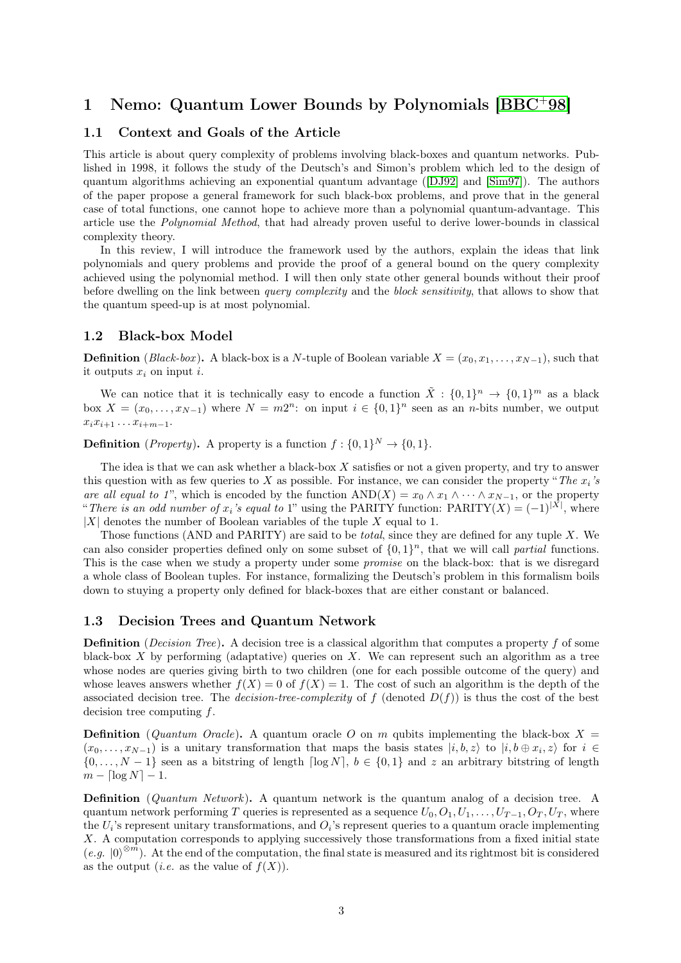# <span id="page-2-0"></span>1 Nemo: Quantum Lower Bounds by Polynomials [\[BBC](#page-17-0)<sup>+</sup>98]

# <span id="page-2-1"></span>1.1 Context and Goals of the Article

This article is about query complexity of problems involving black-boxes and quantum networks. Published in 1998, it follows the study of the Deutsch's and Simon's problem which led to the design of quantum algorithms achieving an exponential quantum advantage ([\[DJ92\]](#page-17-4) and [\[Sim97\]](#page-17-5)). The authors of the paper propose a general framework for such black-box problems, and prove that in the general case of total functions, one cannot hope to achieve more than a polynomial quantum-advantage. This article use the Polynomial Method, that had already proven useful to derive lower-bounds in classical complexity theory.

In this review, I will introduce the framework used by the authors, explain the ideas that link polynomials and query problems and provide the proof of a general bound on the query complexity achieved using the polynomial method. I will then only state other general bounds without their proof before dwelling on the link between query complexity and the block sensitivity, that allows to show that the quantum speed-up is at most polynomial.

## <span id="page-2-2"></span>1.2 Black-box Model

**Definition** (Black-box). A black-box is a N-tuple of Boolean variable  $X = (x_0, x_1, \ldots, x_{N-1})$ , such that it outputs  $x_i$  on input i.

We can notice that it is technically easy to encode a function  $\tilde{X}$ :  $\{0,1\}^n \to \{0,1\}^m$  as a black box  $X = (x_0, \ldots, x_{N-1})$  where  $N = m2^n$ : on input  $i \in \{0, 1\}^n$  seen as an *n*-bits number, we output  $x_i x_{i+1} \ldots x_{i+m-1}$ .

**Definition** (*Property*). A property is a function  $f: \{0,1\}^N \to \{0,1\}.$ 

The idea is that we can ask whether a black-box  $X$  satisfies or not a given property, and try to answer this question with as few queries to X as possible. For instance, we can consider the property "The  $x_i$ 's are all equal to 1", which is encoded by the function  $AND(X) = x_0 \wedge x_1 \wedge \cdots \wedge x_{N-1}$ , or the property "There is an odd number of  $x_i$ 's equal to 1" using the PARITY function:  $\text{PARITY}(X) = (-1)^{|X|}$ , where  $|X|$  denotes the number of Boolean variables of the tuple X equal to 1.

Those functions (AND and PARITY) are said to be *total*, since they are defined for any tuple X. We can also consider properties defined only on some subset of  $\{0,1\}^n$ , that we will call *partial* functions. This is the case when we study a property under some promise on the black-box: that is we disregard a whole class of Boolean tuples. For instance, formalizing the Deutsch's problem in this formalism boils down to stuying a property only defined for black-boxes that are either constant or balanced.

### <span id="page-2-3"></span>1.3 Decision Trees and Quantum Network

**Definition** (*Decision Tree*). A decision tree is a classical algorithm that computes a property f of some black-box  $X$  by performing (adaptative) queries on  $X$ . We can represent such an algorithm as a tree whose nodes are queries giving birth to two children (one for each possible outcome of the query) and whose leaves answers whether  $f(X) = 0$  of  $f(X) = 1$ . The cost of such an algorithm is the depth of the associated decision tree. The *decision-tree-complexity* of f (denoted  $D(f)$ ) is thus the cost of the best decision tree computing f.

**Definition** (Quantum Oracle). A quantum oracle O on m qubits implementing the black-box  $X =$  $(x_0, \ldots, x_{N-1})$  is a unitary transformation that maps the basis states  $|i, b, z\rangle$  to  $|i, b \oplus x_i, z\rangle$  for  $i \in$  $\{0, \ldots, N-1\}$  seen as a bitstring of length  $\lceil \log N \rceil$ ,  $b \in \{0,1\}$  and z an arbitrary bitstring of length  $m - \lceil \log N \rceil - 1.$ 

Definition (Quantum Network). A quantum network is the quantum analog of a decision tree. A quantum network performing T queries is represented as a sequence  $U_0, O_1, U_1, \ldots, U_{T-1}, O_T, U_T$ , where the  $U_i$ 's represent unitary transformations, and  $O_i$ 's represent queries to a quantum oracle implementing X. A computation corresponds to applying successively those transformations from a fixed initial state  $(e.g. |0\rangle^{\otimes m})$ . At the end of the computation, the final state is measured and its rightmost bit is considered as the output (*i.e.* as the value of  $f(X)$ ).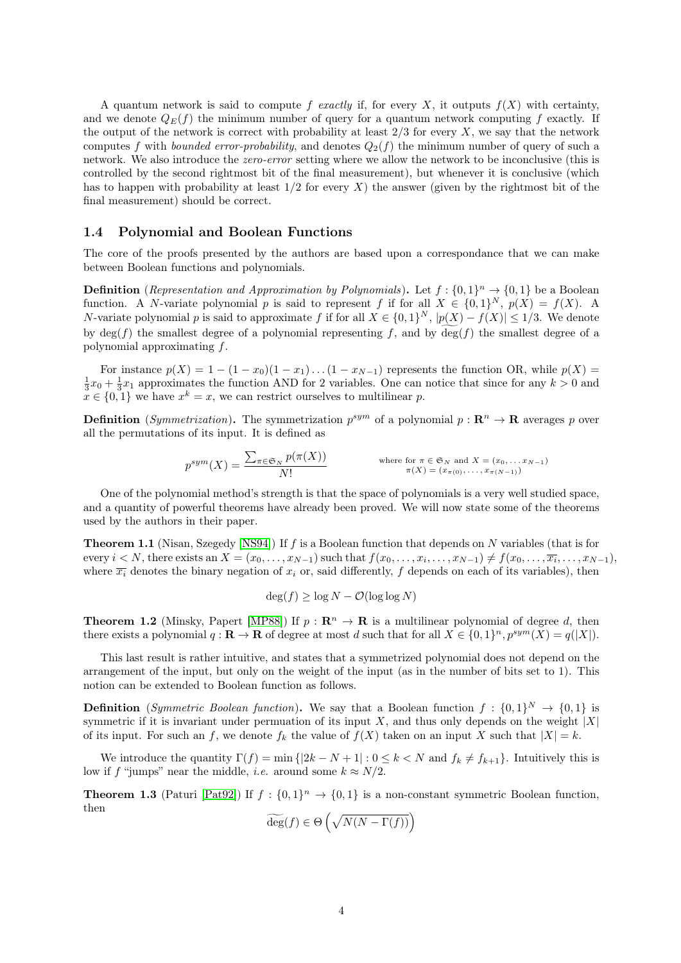A quantum network is said to compute f exactly if, for every X, it outputs  $f(X)$  with certainty, and we denote  $Q_E(f)$  the minimum number of query for a quantum network computing f exactly. If the output of the network is correct with probability at least  $2/3$  for every X, we say that the network computes f with *bounded error-probability*, and denotes  $Q_2(f)$  the minimum number of query of such a network. We also introduce the zero-error setting where we allow the network to be inconclusive (this is controlled by the second rightmost bit of the final measurement), but whenever it is conclusive (which has to happen with probability at least  $1/2$  for every X) the answer (given by the rightmost bit of the final measurement) should be correct.

# <span id="page-3-0"></span>1.4 Polynomial and Boolean Functions

The core of the proofs presented by the authors are based upon a correspondance that we can make between Boolean functions and polynomials.

**Definition** (*Representation and Approximation by Polynomials*). Let  $f: \{0,1\}^n \rightarrow \{0,1\}$  be a Boolean function. A N-variate polynomial p is said to represent f if for all  $X \in \{0,1\}^N$ ,  $p(X) = f(X)$ . A N-variate polynomial p is said to approximate f if for all  $X \in \{0,1\}^N$ ,  $|p(X) - f(X)| \leq 1/3$ . We denote by deg(f) the smallest degree of a polynomial representing f, and by deg(f) the smallest degree of a polynomial approximating f.

For instance  $p(X) = 1 - (1 - x_0)(1 - x_1) \dots (1 - x_{N-1})$  represents the function OR, while  $p(X) =$  $\frac{1}{3}x_0 + \frac{1}{3}x_1$  approximates the function AND for 2 variables. One can notice that since for any  $k > 0$  and  $x \in \{0,1\}$  we have  $x^k = x$ , we can restrict ourselves to multilinear p.

**Definition** (*Symmetrization*). The symmetrization  $p^{sym}$  of a polynomial  $p: \mathbb{R}^n \to \mathbb{R}$  averages p over all the permutations of its input. It is defined as

$$
p^{sym}(X) = \frac{\sum_{\pi \in \mathfrak{S}_N} p(\pi(X))}{N!}
$$
 where for  $\pi \in \mathfrak{S}_N$  and  $X = (x_0, \dots, x_{N-1})$   
 $\pi(X) = (x_{\pi(0)}, \dots, x_{\pi(N-1)})$ 

One of the polynomial method's strength is that the space of polynomials is a very well studied space, and a quantity of powerful theorems have already been proved. We will now state some of the theorems used by the authors in their paper.

**Theorem 1.1** (Nisan, Szegedy [\[NS94\]](#page-17-6)) If f is a Boolean function that depends on  $N$  variables (that is for every  $i < N$ , there exists an  $X = (x_0, \ldots, x_{N-1})$  such that  $f(x_0, \ldots, x_i, \ldots, x_{N-1}) \neq f(x_0, \ldots, \overline{x_i}, \ldots, x_{N-1}),$ where  $\overline{x_i}$  denotes the binary negation of  $x_i$  or, said differently, f depends on each of its variables), then

$$
\deg(f) \ge \log N - \mathcal{O}(\log \log N)
$$

**Theorem 1.2** (Minsky, Papert [\[MP88\]](#page-17-7)) If  $p : \mathbb{R}^n \to \mathbb{R}$  is a multilinear polynomial of degree d, then there exists a polynomial  $q: \mathbf{R} \to \mathbf{R}$  of degree at most d such that for all  $X \in \{0,1\}^n$ ,  $p^{sym}(X) = q(|X|)$ .

This last result is rather intuitive, and states that a symmetrized polynomial does not depend on the arrangement of the input, but only on the weight of the input (as in the number of bits set to 1). This notion can be extended to Boolean function as follows.

**Definition** (Symmetric Boolean function). We say that a Boolean function  $f: \{0,1\}^N \to \{0,1\}$  is symmetric if it is invariant under permuation of its input X, and thus only depends on the weight  $|X|$ of its input. For such an f, we denote  $f_k$  the value of  $f(X)$  taken on an input X such that  $|X| = k$ .

We introduce the quantity  $\Gamma(f) = \min\{|2k - N + 1| : 0 \le k < N \text{ and } f_k \ne f_{k+1}\}\.$  Intuitively this is low if f "jumps" near the middle, *i.e.* around some  $k \approx N/2$ .

**Theorem 1.3** (Paturi [\[Pat92\]](#page-17-8)) If  $f : \{0,1\}^n \to \{0,1\}$  is a non-constant symmetric Boolean function, then

$$
\widetilde{\deg}(f) \in \Theta\left(\sqrt{N(N - \Gamma(f))}\right)
$$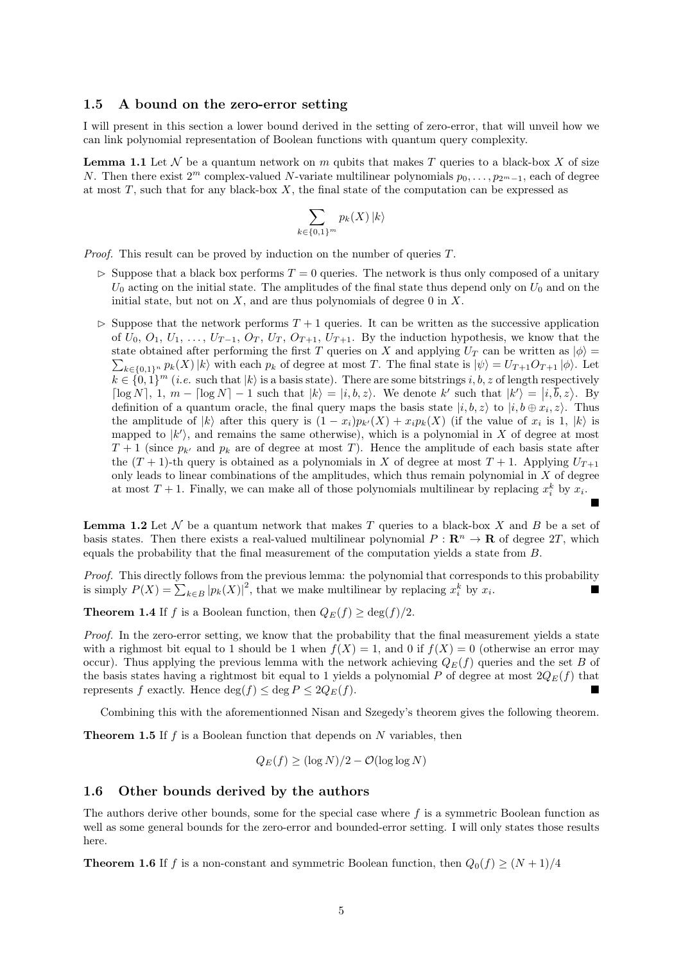## <span id="page-4-0"></span>1.5 A bound on the zero-error setting

I will present in this section a lower bound derived in the setting of zero-error, that will unveil how we can link polynomial representation of Boolean functions with quantum query complexity.

**Lemma 1.1** Let  $\mathcal N$  be a quantum network on m qubits that makes T queries to a black-box X of size N. Then there exist  $2^m$  complex-valued N-variate multilinear polynomials  $p_0, \ldots, p_{2^m-1}$ , each of degree at most  $T$ , such that for any black-box  $X$ , the final state of the computation can be expressed as

$$
\sum_{k \in \{0,1\}^m} p_k(X) \, |k\rangle
$$

Proof. This result can be proved by induction on the number of queries T.

- $\triangleright$  Suppose that a black box performs  $T = 0$  queries. The network is thus only composed of a unitary  $U_0$  acting on the initial state. The amplitudes of the final state thus depend only on  $U_0$  and on the initial state, but not on  $X$ , and are thus polynomials of degree 0 in  $X$ .
- $\triangleright$  Suppose that the network performs  $T + 1$  queries. It can be written as the successive application of  $U_0, O_1, U_1, \ldots, U_{T-1}, O_T, U_T, O_{T+1}, U_{T+1}$ . By the induction hypothesis, we know that the state obtained after performing the first T queries on X and applying  $U_T$  can be written as  $|\phi\rangle =$  $\sum_{k\in\{0,1\}^n} p_k(X)|k\rangle$  with each  $p_k$  of degree at most T. The final state is  $|\psi\rangle = U_{T+1}O_{T+1} |\phi\rangle$ . Let  $k \in \{0,1\}^m$  (*i.e.* such that  $|k\rangle$  is a basis state). There are some bitstrings i, b, z of length respectively  $\lceil \log N \rceil$ ,  $1, m - \lceil \log N \rceil - 1$  such that  $|k\rangle = |i, b, z\rangle$ . We denote k' such that  $|k'\rangle = |i, \overline{b}, z\rangle$ . By definition of a quantum oracle, the final query maps the basis state  $|i, b, z\rangle$  to  $|i, b \oplus x_i, z\rangle$ . Thus the amplitude of  $|k\rangle$  after this query is  $(1-x_i)p_{k'}(X) + x_i p_k(X)$  (if the value of  $x_i$  is 1,  $|k\rangle$  is mapped to  $|k'\rangle$ , and remains the same otherwise), which is a polynomial in X of degree at most  $T + 1$  (since  $p_{k'}$  and  $p_k$  are of degree at most T). Hence the amplitude of each basis state after the  $(T + 1)$ -th query is obtained as a polynomials in X of degree at most  $T + 1$ . Applying  $U_{T+1}$ only leads to linear combinations of the amplitudes, which thus remain polynomial in  $X$  of degree at most  $T + 1$ . Finally, we can make all of those polynomials multilinear by replacing  $x_i^k$  by  $x_i$ .

**Lemma 1.2** Let  $\mathcal N$  be a quantum network that makes T queries to a black-box X and B be a set of basis states. Then there exists a real-valued multilinear polynomial  $P : \mathbb{R}^n \to \mathbb{R}$  of degree 2T, which equals the probability that the final measurement of the computation yields a state from B.

 $\blacksquare$ 

Proof. This directly follows from the previous lemma: the polynomial that corresponds to this probability is simply  $P(X) = \sum_{k \in B} |p_k(X)|^2$ , that we make multilinear by replacing  $x_i^k$  by  $x_i$ .

**Theorem 1.4** If f is a Boolean function, then  $Q_E(f) \ge \deg(f)/2$ .

Proof. In the zero-error setting, we know that the probability that the final measurement yields a state with a righmost bit equal to 1 should be 1 when  $f(X) = 1$ , and 0 if  $f(X) = 0$  (otherwise an error may occur). Thus applying the previous lemma with the network achieving  $Q_E(f)$  queries and the set B of the basis states having a rightmost bit equal to 1 yields a polynomial P of degree at most  $2Q_E(f)$  that represents f exactly. Hence  $\deg(f) \leq \deg P \leq 2Q_E(f)$ .

Combining this with the aforementionned Nisan and Szegedy's theorem gives the following theorem.

**Theorem 1.5** If f is a Boolean function that depends on N variables, then

$$
Q_E(f) \ge (\log N)/2 - \mathcal{O}(\log \log N)
$$

### <span id="page-4-1"></span>1.6 Other bounds derived by the authors

The authors derive other bounds, some for the special case where  $f$  is a symmetric Boolean function as well as some general bounds for the zero-error and bounded-error setting. I will only states those results here.

**Theorem 1.6** If f is a non-constant and symmetric Boolean function, then  $Q_0(f) \geq (N+1)/4$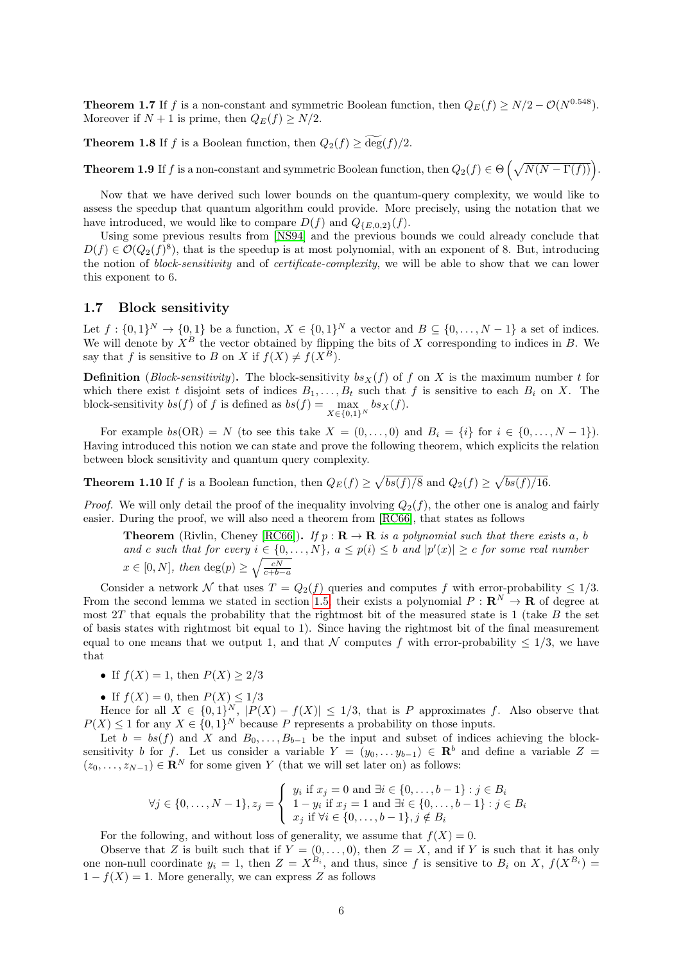**Theorem 1.7** If f is a non-constant and symmetric Boolean function, then  $Q_E(f) \ge N/2 - \mathcal{O}(N^{0.548})$ . Moreover if  $N + 1$  is prime, then  $Q_E(f) \geq N/2$ .

**Theorem 1.8** If f is a Boolean function, then  $Q_2(f) \ge \widetilde{\deg}(f)/2$ .

**Theorem 1.9** If f is a non-constant and symmetric Boolean function, then  $Q_2(f) \in \Theta\left(\sqrt{N(N-\Gamma(f))}\right)$ .

Now that we have derived such lower bounds on the quantum-query complexity, we would like to assess the speedup that quantum algorithm could provide. More precisely, using the notation that we have introduced, we would like to compare  $D(f)$  and  $Q_{\{E,0,2\}}(f)$ .

Using some previous results from [\[NS94\]](#page-17-6) and the previous bounds we could already conclude that  $D(f) \in \mathcal{O}(Q_2(f)^8)$ , that is the speedup is at most polynomial, with an exponent of 8. But, introducing the notion of *block-sensitivity* and of *certificate-complexity*, we will be able to show that we can lower this exponent to 6.

# <span id="page-5-0"></span>1.7 Block sensitivity

Let  $f: \{0,1\}^N \to \{0,1\}$  be a function,  $X \in \{0,1\}^N$  a vector and  $B \subseteq \{0,\ldots,N-1\}$  a set of indices. We will denote by  $X^B$  the vector obtained by flipping the bits of X corresponding to indices in B. We say that f is sensitive to B on X if  $f(X) \neq f(X^B)$ .

**Definition** (Block-sensitivity). The block-sensitivity  $bs_X(f)$  of f on X is the maximum number t for which there exist t disjoint sets of indices  $B_1, \ldots, B_t$  such that f is sensitive to each  $B_i$  on X. The block-sensitivity  $bs(f)$  of f is defined as  $bs(f) = \max_{X \in \{0,1\}^N} bs_X(f)$ .

For example  $bs(OR) = N$  (to see this take  $X = (0, \ldots, 0)$  and  $B_i = \{i\}$  for  $i \in \{0, \ldots, N-1\}$ ). Having introduced this notion we can state and prove the following theorem, which explicits the relation between block sensitivity and quantum query complexity.

**Theorem 1.10** If f is a Boolean function, then  $Q_E(f) \ge \sqrt{bs(f)/8}$  and  $Q_2(f) \ge \sqrt{bs(f)/16}$ .

*Proof.* We will only detail the proof of the inequality involving  $Q_2(f)$ , the other one is analog and fairly easier. During the proof, we will also need a theorem from [\[RC66\]](#page-17-9), that states as follows

**Theorem** (Rivlin, Cheney [\[RC66\]](#page-17-9)). If  $p : \mathbf{R} \to \mathbf{R}$  is a polynomial such that there exists a, b and c such that for every  $i \in \{0, ..., N\}$ ,  $a \leq p(i) \leq b$  and  $|p'(x)| \geq c$  for some real number  $x \in [0, N]$ , then  $deg(p) \ge \sqrt{\frac{cN}{c+b-a}}$ 

Consider a network N that uses  $T = Q_2(f)$  queries and computes f with error-probability  $\leq 1/3$ . From the second lemma we stated in section [1.5,](#page-4-0) their exists a polynomial  $P : \mathbb{R}^N \to \mathbb{R}$  of degree at most 2T that equals the probability that the rightmost bit of the measured state is 1 (take  $B$  the set of basis states with rightmost bit equal to 1). Since having the rightmost bit of the final measurement equal to one means that we output 1, and that N computes f with error-probability  $\leq 1/3$ , we have that

- If  $f(X) = 1$ , then  $P(X) \geq 2/3$
- If  $f(X) = 0$ , then  $P(X) \leq 1/3$

Hence for all  $X \in \{0,1\}^N$ ,  $|P(X) - f(X)| \leq 1/3$ , that is P approximates f. Also observe that  $P(X) \leq 1$  for any  $X \in \{0,1\}^N$  because P represents a probability on those inputs.

Let  $b = bs(f)$  and X and  $B_0, \ldots, B_{b-1}$  be the input and subset of indices achieving the blocksensitivity b for f. Let us consider a variable  $Y = (y_0, \ldots y_{b-1}) \in \mathbb{R}^b$  and define a variable  $Z =$  $(z_0, \ldots, z_{N-1}) \in \mathbb{R}^N$  for some given Y (that we will set later on) as follows:

$$
\forall j \in \{0, \dots, N-1\}, z_j = \begin{cases} y_i \text{ if } x_j = 0 \text{ and } \exists i \in \{0, \dots, b-1\} : j \in B_i \\ 1 - y_i \text{ if } x_j = 1 \text{ and } \exists i \in \{0, \dots, b-1\} : j \in B_i \\ x_j \text{ if } \forall i \in \{0, \dots, b-1\}, j \notin B_i \end{cases}
$$

For the following, and without loss of generality, we assume that  $f(X) = 0$ .

Observe that Z is built such that if  $Y = (0, \ldots, 0)$ , then  $Z = X$ , and if Y is such that it has only one non-null coordinate  $y_i = 1$ , then  $Z = X^{B_i}$ , and thus, since f is sensitive to  $B_i$  on X,  $f(X^{B_i}) =$  $1 - f(X) = 1$ . More generally, we can express Z as follows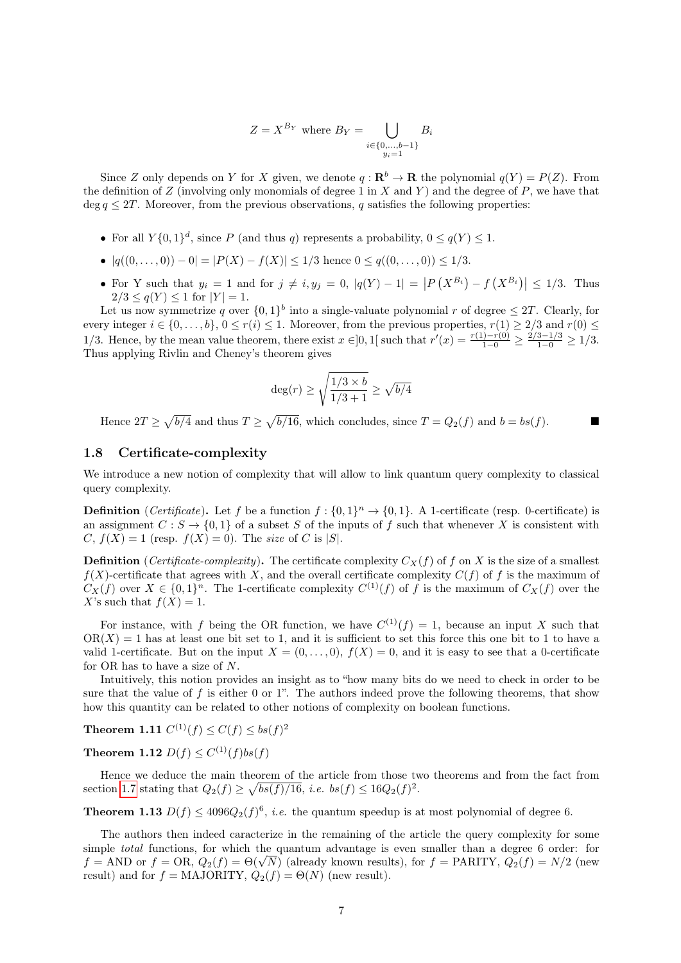$$
Z = X^{B_Y} \text{ where } B_Y = \bigcup_{\substack{i \in \{0, \dots, b-1\} \\ y_i = 1}} B_i
$$

Since Z only depends on Y for X given, we denote  $q: \mathbf{R}^b \to \mathbf{R}$  the polynomial  $q(Y) = P(Z)$ . From the definition of Z (involving only monomials of degree 1 in X and Y) and the degree of P, we have that deg  $q \leq 2T$ . Moreover, from the previous observations, q satisfies the following properties:

- For all  $Y\{0,1\}^d$ , since P (and thus q) represents a probability,  $0 \leq q(Y) \leq 1$ .
- $|q((0, \ldots, 0)) 0| = |P(X) f(X)| \le 1/3$  hence  $0 \le q((0, \ldots, 0)) \le 1/3$ .
- For Y such that  $y_i = 1$  and for  $j \neq i, y_j = 0, |q(Y) 1| = |P(X^{B_i}) f(X^{B_i})| \le 1/3$ . Thus  $2/3 \leq q(Y) \leq 1$  for  $|Y| = 1$ .

Let us now symmetrize q over  $\{0,1\}^b$  into a single-valuate polynomial r of degree  $\leq 2T$ . Clearly, for every integer  $i \in \{0, \ldots, b\}$ ,  $0 \le r(i) \le 1$ . Moreover, from the previous properties,  $r(1) \ge 2/3$  and  $r(0) \le$ 1/3. Hence, by the mean value theorem, there exist  $x \in ]0,1[$  such that  $r'(x) = \frac{r(1)-r(0)}{1-0} \ge \frac{2/3-1/3}{1-0} \ge 1/3$ . Thus applying Rivlin and Cheney's theorem gives

$$
\deg(r) \ge \sqrt{\frac{1/3 \times b}{1/3 + 1}} \ge \sqrt{b/4}
$$

Hence  $2T \ge \sqrt{b/4}$  and thus  $T \ge \sqrt{b/16}$ , which concludes, since  $T = Q_2(f)$  and  $b = bs(f)$ .

# <span id="page-6-0"></span>1.8 Certificate-complexity

We introduce a new notion of complexity that will allow to link quantum query complexity to classical query complexity.

**Definition** (*Certificate*). Let f be a function  $f: \{0,1\}^n \to \{0,1\}$ . A 1-certificate (resp. 0-certificate) is an assignment  $C : S \to \{0,1\}$  of a subset S of the inputs of f such that whenever X is consistent with C,  $f(X) = 1$  (resp.  $f(X) = 0$ ). The size of C is |S|.

**Definition** (Certificate-complexity). The certificate complexity  $C_X(f)$  of f on X is the size of a smallest  $f(X)$ -certificate that agrees with X, and the overall certificate complexity  $C(f)$  of f is the maximum of  $C_X(f)$  over  $X \in \{0,1\}^n$ . The 1-certificate complexity  $C^{(1)}(f)$  of f is the maximum of  $C_X(f)$  over the X's such that  $f(X) = 1$ .

For instance, with f being the OR function, we have  $C^{(1)}(f) = 1$ , because an input X such that  $OR(X) = 1$  has at least one bit set to 1, and it is sufficient to set this force this one bit to 1 to have a valid 1-certificate. But on the input  $X = (0, \ldots, 0), f(X) = 0$ , and it is easy to see that a 0-certificate for OR has to have a size of N.

Intuitively, this notion provides an insight as to "how many bits do we need to check in order to be sure that the value of  $f$  is either 0 or 1". The authors indeed prove the following theorems, that show how this quantity can be related to other notions of complexity on boolean functions.

**Theorem 1.11**  $C^{(1)}(f) \leq C(f) \leq bs(f)^2$ 

**Theorem 1.12**  $D(f) \leq C^{(1)}(f)bs(f)$ 

Hence we deduce the main theorem of the article from those two theorems and from the fact from section [1.7](#page-5-0) stating that  $Q_2(f) \ge \sqrt{bs(f)/16}$ , *i.e.*  $bs(f) \le 16Q_2(f)^2$ .

**Theorem 1.13**  $D(f) \leq 4096Q_2(f)^6$ , *i.e.* the quantum speedup is at most polynomial of degree 6.

The authors then indeed caracterize in the remaining of the article the query complexity for some simple total functions, for which the quantum advantage is even smaller than a degree 6 order: for simple *total* functions, for which the quantum advantage is even smaller than a degree 6 order: for  $f = \text{AND}$  or  $f = \text{OR}$ ,  $Q_2(f) = \Theta(\sqrt{N})$  (already known results), for  $f = \text{PARTY}$ ,  $Q_2(f) = N/2$  (new result) and for  $f = \text{MAJORITY}, Q_2(f) = \Theta(N)$  (new result).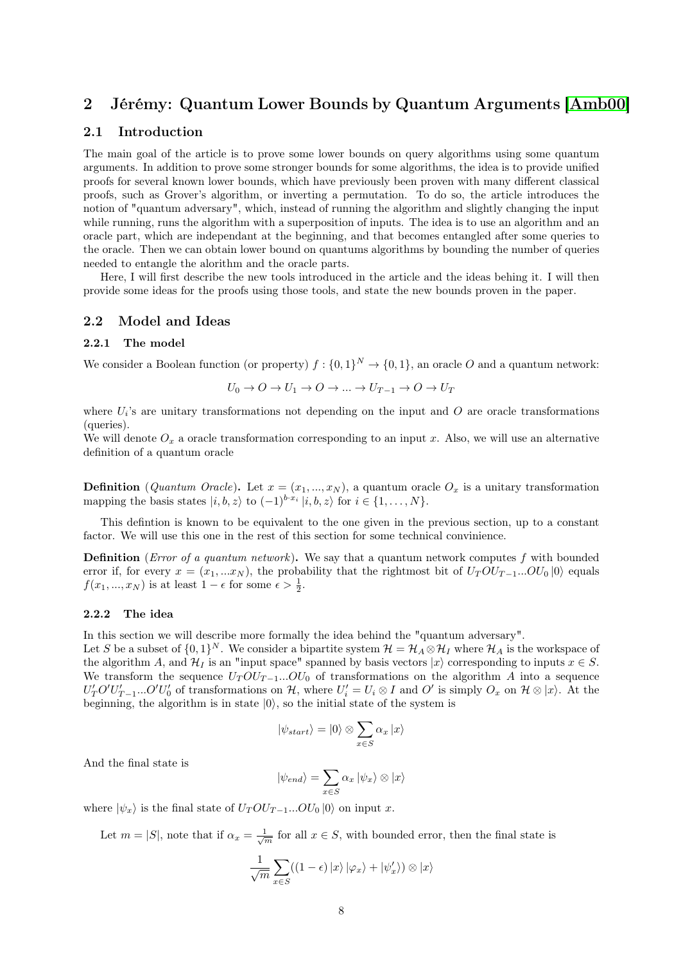# <span id="page-7-0"></span>2 Jérémy: Quantum Lower Bounds by Quantum Arguments [\[Amb00\]](#page-17-1)

# <span id="page-7-1"></span>2.1 Introduction

The main goal of the article is to prove some lower bounds on query algorithms using some quantum arguments. In addition to prove some stronger bounds for some algorithms, the idea is to provide unified proofs for several known lower bounds, which have previously been proven with many different classical proofs, such as Grover's algorithm, or inverting a permutation. To do so, the article introduces the notion of "quantum adversary", which, instead of running the algorithm and slightly changing the input while running, runs the algorithm with a superposition of inputs. The idea is to use an algorithm and an oracle part, which are independant at the beginning, and that becomes entangled after some queries to the oracle. Then we can obtain lower bound on quantums algorithms by bounding the number of queries needed to entangle the alorithm and the oracle parts.

Here, I will first describe the new tools introduced in the article and the ideas behing it. I will then provide some ideas for the proofs using those tools, and state the new bounds proven in the paper.

# <span id="page-7-2"></span>2.2 Model and Ideas

## <span id="page-7-3"></span>2.2.1 The model

We consider a Boolean function (or property)  $f: \{0,1\}^N \to \{0,1\}$ , an oracle O and a quantum network:

$$
U_0 \to O \to U_1 \to O \to \dots \to U_{T-1} \to O \to U_T
$$

where  $U_i$ 's are unitary transformations not depending on the input and O are oracle transformations (queries).

We will denote  $O_x$  a oracle transformation corresponding to an input x. Also, we will use an alternative definition of a quantum oracle

**Definition** (*Quantum Oracle*). Let  $x = (x_1, ..., x_N)$ , a quantum oracle  $O_x$  is a unitary transformation mapping the basis states  $|i, b, z\rangle$  to  $(-1)^{b \cdot x_i} |i, b, z\rangle$  for  $i \in \{1, ..., N\}$ .

This defintion is known to be equivalent to the one given in the previous section, up to a constant factor. We will use this one in the rest of this section for some technical convinience.

**Definition** (*Error of a quantum network*). We say that a quantum network computes f with bounded error if, for every  $x = (x_1, ... x_N)$ , the probability that the rightmost bit of  $U_T O U_{T-1}...O U_0 |0\rangle$  equals  $f(x_1, ..., x_N)$  is at least  $1 - \epsilon$  for some  $\epsilon > \frac{1}{2}$ .

#### <span id="page-7-4"></span>2.2.2 The idea

In this section we will describe more formally the idea behind the "quantum adversary".

Let S be a subset of  $\{0,1\}^N$ . We consider a bipartite system  $\mathcal{H} = \mathcal{H}_A \otimes \mathcal{H}_I$  where  $\mathcal{H}_A$  is the workspace of the algorithm A, and  $\mathcal{H}_I$  is an "input space" spanned by basis vectors  $|x\rangle$  corresponding to inputs  $x \in S$ . We transform the sequence  $U_T O U_{T-1}...O U_0$  of transformations on the algorithm A into a sequence  $U'_T O' U'_{T-1} ... O' U'_{0}$  of transformations on H, where  $U'_i = U_i \otimes I$  and  $O'$  is simply  $O_x$  on  $\mathcal{H} \otimes |x\rangle$ . At the beginning, the algorithm is in state  $|0\rangle$ , so the initial state of the system is

$$
|\psi_{start}\rangle = |0\rangle \otimes \sum_{x \in S} \alpha_x |x\rangle
$$

And the final state is

$$
|\psi_{end}\rangle = \sum_{x \in S} \alpha_x |\psi_x\rangle \otimes |x\rangle
$$

where  $|\psi_x\rangle$  is the final state of  $U_T O U_{T-1}... O U_0 |0\rangle$  on input x.

Let  $m = |S|$ , note that if  $\alpha_x = \frac{1}{\sqrt{m}}$  for all  $x \in S$ , with bounded error, then the final state is

$$
\frac{1}{\sqrt{m}}\sum_{x\in S}((1-\epsilon)|x\rangle|\varphi_x\rangle+|\psi_x'\rangle)\otimes|x\rangle
$$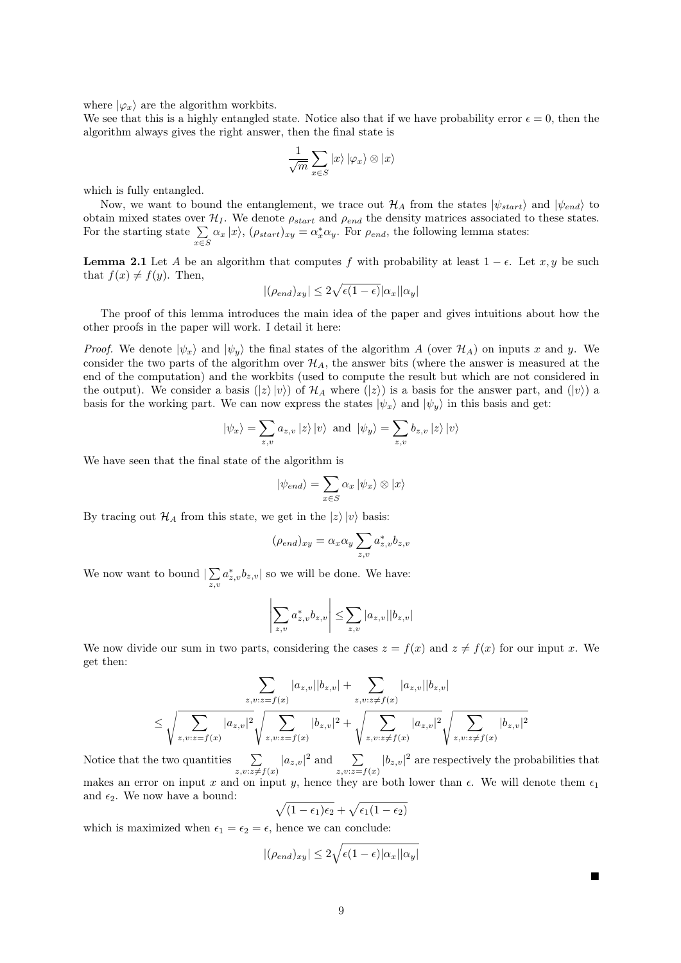where  $|\varphi_x\rangle$  are the algorithm workbits.

We see that this is a highly entangled state. Notice also that if we have probability error  $\epsilon = 0$ , then the algorithm always gives the right answer, then the final state is

$$
\frac{1}{\sqrt{m}}\sum_{x\in S}\ket{x}\ket{\varphi_x}\otimes\ket{x}
$$

which is fully entangled.

Now, we want to bound the entanglement, we trace out  $\mathcal{H}_A$  from the states  $|\psi_{start}\rangle$  and  $|\psi_{end}\rangle$  to obtain mixed states over  $\mathcal{H}_I$ . We denote  $\rho_{start}$  and  $\rho_{end}$  the density matrices associated to these states. For the starting state  $\Sigma$  $\sum_{x \in S} \alpha_x |x\rangle$ ,  $(\rho_{start})_{xy} = \alpha_x^* \alpha_y$ . For  $\rho_{end}$ , the following lemma states:

<span id="page-8-0"></span>**Lemma 2.1** Let A be an algorithm that computes f with probability at least  $1 - \epsilon$ . Let x, y be such that  $f(x) \neq f(y)$ . Then,

$$
|(\rho_{end})_{xy}| \leq 2\sqrt{\epsilon(1-\epsilon)} |\alpha_x||\alpha_y|
$$

The proof of this lemma introduces the main idea of the paper and gives intuitions about how the other proofs in the paper will work. I detail it here:

*Proof.* We denote  $|\psi_x\rangle$  and  $|\psi_y\rangle$  the final states of the algorithm A (over  $\mathcal{H}_A$ ) on inputs x and y. We consider the two parts of the algorithm over  $\mathcal{H}_A$ , the answer bits (where the answer is measured at the end of the computation) and the workbits (used to compute the result but which are not considered in the output). We consider a basis  $(|z\rangle |v\rangle)$  of  $\mathcal{H}_A$  where  $(|z\rangle)$  is a basis for the answer part, and  $(|v\rangle)$  a basis for the working part. We can now express the states  $|\psi_x\rangle$  and  $|\psi_y\rangle$  in this basis and get:

$$
|\psi_x\rangle = \sum_{z,v} a_{z,v} |z\rangle |v\rangle
$$
 and  $|\psi_y\rangle = \sum_{z,v} b_{z,v} |z\rangle |v\rangle$ 

We have seen that the final state of the algorithm is

$$
|\psi_{end}\rangle = \sum_{x \in S} \alpha_x |\psi_x\rangle \otimes |x\rangle
$$

By tracing out  $\mathcal{H}_A$  from this state, we get in the  $|z\rangle|v\rangle$  basis:

$$
(\rho_{end})_{xy} = \alpha_x \alpha_y \sum_{z,v} a_{z,v}^* b_{z,v}
$$

We now want to bound  $\sum$  $\sum_{z,v} a_{z,v}^* b_{z,v}$  so we will be done. We have:

$$
\left|\sum_{z,v} a_{z,v}^* b_{z,v}\right| \leq \sum_{z,v} |a_{z,v}| |b_{z,v}|
$$

We now divide our sum in two parts, considering the cases  $z = f(x)$  and  $z \neq f(x)$  for our input x. We get then:

$$
\sum_{z,v:z=f(x)} |a_{z,v}| |b_{z,v}| + \sum_{z,v:z \neq f(x)} |a_{z,v}| |b_{z,v}|
$$
  

$$
\leq \sqrt{\sum_{z,v:z=f(x)} |a_{z,v}|^2} \sqrt{\sum_{z,v:z=f(x)} |b_{z,v}|^2} + \sqrt{\sum_{z,v:z \neq f(x)} |a_{z,v}|^2} \sqrt{\sum_{z,v:z \neq f(x)} |b_{z,v}|^2}
$$

Notice that the two quantities  $\sum_{z,v:z\neq f(x)} |a_{z,v}|^2$  and  $\sum_{z,v:z=z}$  $\sum_{z,v:z=f(x)} |b_{z,v}|^2$  are respectively the probabilities that makes an error on input x and on input y, hence they are both lower than  $\epsilon$ . We will denote them  $\epsilon_1$ and  $\epsilon_2$ . We now have a bound:

$$
\sqrt{(1-\epsilon_1)\epsilon_2} + \sqrt{\epsilon_1(1-\epsilon_2)}
$$

which is maximized when  $\epsilon_1 = \epsilon_2 = \epsilon$ , hence we can conclude:

$$
|(\rho_{end})_{xy}| \le 2\sqrt{\epsilon(1-\epsilon)|\alpha_x||\alpha_y|}
$$

 $\blacksquare$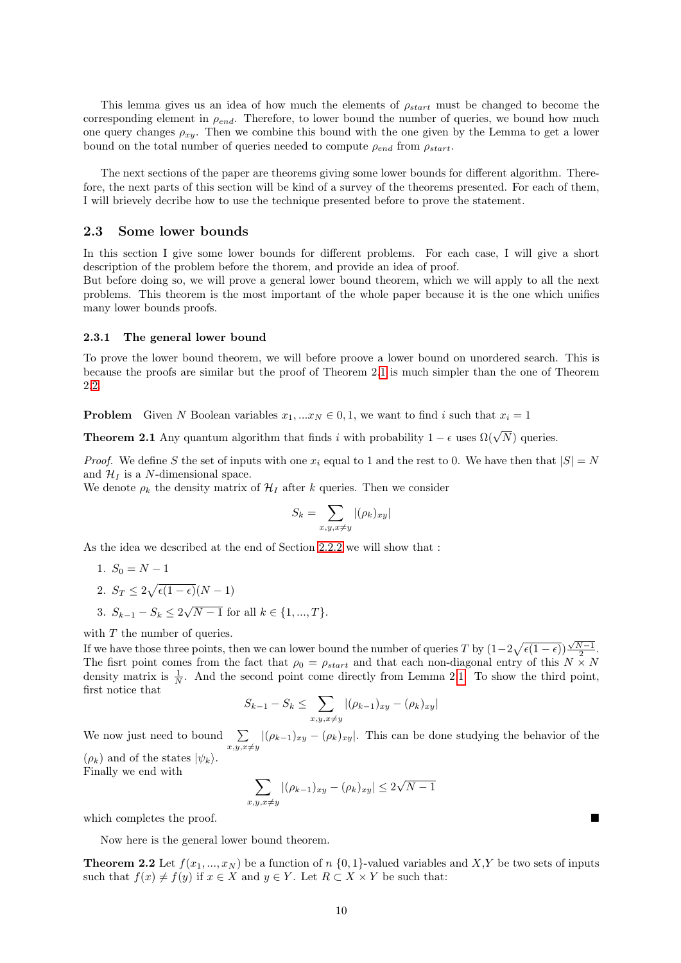This lemma gives us an idea of how much the elements of  $\rho_{start}$  must be changed to become the corresponding element in  $\rho_{end}$ . Therefore, to lower bound the number of queries, we bound how much one query changes  $\rho_{xy}$ . Then we combine this bound with the one given by the Lemma to get a lower bound on the total number of queries needed to compute  $\rho_{end}$  from  $\rho_{start}$ .

The next sections of the paper are theorems giving some lower bounds for different algorithm. Therefore, the next parts of this section will be kind of a survey of the theorems presented. For each of them, I will brievely decribe how to use the technique presented before to prove the statement.

#### <span id="page-9-0"></span>2.3 Some lower bounds

In this section I give some lower bounds for different problems. For each case, I will give a short description of the problem before the thorem, and provide an idea of proof.

But before doing so, we will prove a general lower bound theorem, which we will apply to all the next problems. This theorem is the most important of the whole paper because it is the one which unifies many lower bounds proofs.

#### <span id="page-9-1"></span>2.3.1 The general lower bound

To prove the lower bound theorem, we will before proove a lower bound on unordered search. This is because the proofs are similar but the proof of Theorem 2[.1](#page-9-2) is much simpler than the one of Theorem 2[.2.](#page-9-3)

**Problem** Given N Boolean variables  $x_1, ... x_N \in 0, 1$ , we want to find i such that  $x_i = 1$ 

<span id="page-9-2"></span>**Theorem 2.1** Any quantum algorithm that finds i with probability  $1 - \epsilon$  uses  $\Omega(\sqrt{N})$  queries.

*Proof.* We define S the set of inputs with one  $x_i$  equal to 1 and the rest to 0. We have then that  $|S| = N$ and  $\mathcal{H}_I$  is a N-dimensional space.

We denote  $\rho_k$  the density matrix of  $\mathcal{H}_I$  after k queries. Then we consider

$$
S_k = \sum_{x,y,x \neq y} |(\rho_k)_{xy}|
$$

As the idea we described at the end of Section [2.2.2](#page-7-4) we will show that :

- 1.  $S_0 = N 1$ 2.  $S_T \leq 2\sqrt{\epsilon(1-\epsilon)}(N-1)$
- 3.  $S_{k-1} S_k \leq 2$ √  $N-1$  for all  $k \in \{1, ..., T\}.$

with  $T$  the number of queries.

If we have those three points, then we can lower bound the number of queries T by  $(1-2\sqrt{\epsilon(1-\epsilon)})\frac{\sqrt{N-1}}{2}$ . The fisrt point comes from the fact that  $\rho_0 = \rho_{start}$  and that each non-diagonal entry of this  $N \times N$ density matrix is  $\frac{1}{N}$ . And the second point come directly from Lemma 2[.1.](#page-8-0) To show the third point, first notice that

$$
S_{k-1} - S_k \le \sum_{x,y,x \ne y} |(\rho_{k-1})_{xy} - (\rho_k)_{xy}|
$$

We now just need to bound  $\sum$  $\sum_{x,y,x\neq y} |(\rho_{k-1})_{xy} - (\rho_k)_{xy}|$ . This can be done studying the behavior of the  $(\rho_k)$  and of the states  $|\psi_k\rangle$ .

Finally we end with

$$
\sum_{x,y,x\neq y} |(\rho_{k-1})_{xy} - (\rho_k)_{xy}| \leq 2\sqrt{N-1}
$$

which completes the proof.

Now here is the general lower bound theorem.

<span id="page-9-3"></span>**Theorem 2.2** Let  $f(x_1, ..., x_N)$  be a function of n {0, 1}-valued variables and X,Y be two sets of inputs such that  $f(x) \neq f(y)$  if  $x \in X$  and  $y \in Y$ . Let  $R \subset X \times Y$  be such that: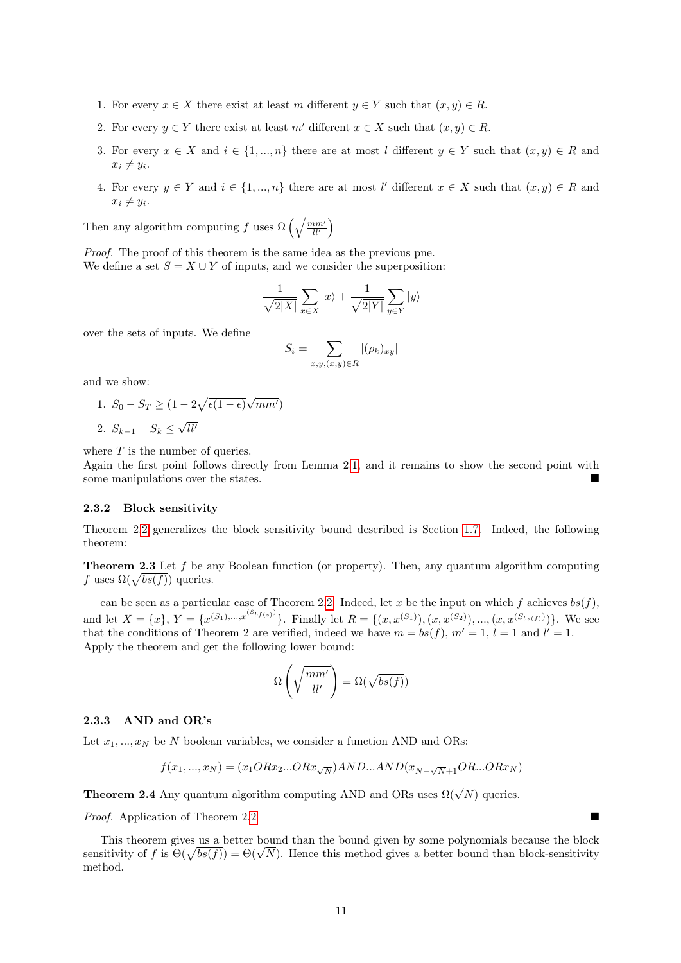- 1. For every  $x \in X$  there exist at least m different  $y \in Y$  such that  $(x, y) \in R$ .
- 2. For every  $y \in Y$  there exist at least m' different  $x \in X$  such that  $(x, y) \in R$ .
- 3. For every  $x \in X$  and  $i \in \{1, ..., n\}$  there are at most l different  $y \in Y$  such that  $(x, y) \in R$  and  $x_i \neq y_i.$
- 4. For every  $y \in Y$  and  $i \in \{1, ..., n\}$  there are at most l' different  $x \in X$  such that  $(x, y) \in R$  and  $x_i \neq y_i.$

Then any algorithm computing f uses  $\Omega\left(\sqrt{\frac{mm'}{ll'}}\right)$ 

Proof. The proof of this theorem is the same idea as the previous pne. We define a set  $S = X \cup Y$  of inputs, and we consider the superposition:

$$
\frac{1}{\sqrt{2|X|}}\sum_{x\in X}|x\rangle + \frac{1}{\sqrt{2|Y|}}\sum_{y\in Y}|y\rangle
$$

over the sets of inputs. We define

$$
S_i = \sum_{x,y,(x,y)\in R} |(\rho_k)_{xy}|
$$

and we show:

1.  $S_0 - S_T \geq (1 - 2\sqrt{\epsilon(1 - \epsilon)})$  $\sqrt{mm'}$  $\sqrt{ll'}$ 

2.  $S_{k-1} - S_k \leq$ 

where  $T$  is the number of queries.

Again the first point follows directly from Lemma 2[.1,](#page-8-0) and it remains to show the second point with some manipulations over the states.

#### <span id="page-10-0"></span>2.3.2 Block sensitivity

Theorem 2[.2](#page-9-3) generalizes the block sensitivity bound described is Section [1.7.](#page-5-0) Indeed, the following theorem:

Theorem 2.3 Let f be any Boolean function (or property). Then, any quantum algorithm computing f uses  $\Omega(\sqrt{bs(f)})$  queries.

can be seen as a particular case of Theorem 2[.2.](#page-9-3) Indeed, let x be the input on which f achieves  $bs(f)$ , and let  $X = \{x\}, Y = \{x^{(S_1),...,x^{(S_{bf(s)})}}\}.$  Finally let  $R = \{(x, x^{(S_1)}), (x, x^{(S_2)}), ..., (x, x^{(S_{bs(f)})})\}.$  We see that the conditions of Theorem 2 are verified, indeed we have  $m = bs(f)$ ,  $m' = 1$ ,  $l = 1$  and  $l' = 1$ . Apply the theorem and get the following lower bound:

$$
\Omega\left(\sqrt{\frac{mm'}{ll'}}\right) = \Omega(\sqrt{bs(f)})
$$

## <span id="page-10-1"></span>2.3.3 AND and OR's

Let  $x_1, ..., x_N$  be N boolean variables, we consider a function AND and ORs:

$$
f(x_1,...,x_N)=(x_1ORx_2...ORx_{\sqrt{N}})AND...AND(x_{N-\sqrt{N}+1}OR...ORx_N)
$$

**Theorem 2.4** Any quantum algorithm computing AND and ORs uses  $\Omega(\sqrt{N})$  queries.

Proof. Application of Theorem 2[.2](#page-9-3)

This theorem gives us a better bound than the bound given by some polynomials because the block This theorem gives us a better bound than the bound given by some polynomials because the block-sensitivity of f is  $\Theta(\sqrt{bs(f)}) = \Theta(\sqrt{N})$ . Hence this method gives a better bound than block-sensitivity method.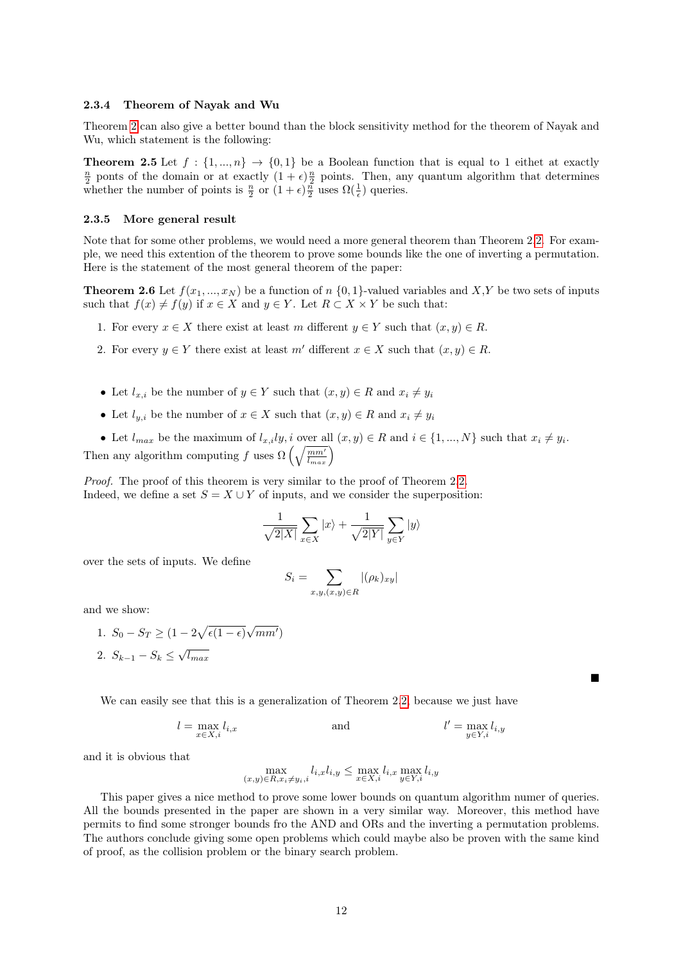#### <span id="page-11-0"></span>2.3.4 Theorem of Nayak and Wu

Theorem [2](#page-9-3) can also give a better bound than the block sensitivity method for the theorem of Nayak and Wu, which statement is the following:

**Theorem 2.5** Let  $f : \{1, ..., n\} \rightarrow \{0, 1\}$  be a Boolean function that is equal to 1 eithet at exactly  $\frac{n}{2}$  ponts of the domain or at exactly  $(1+\epsilon)\frac{n}{2}$  points. Then, any quantum algorithm that determines whether the number of points is  $\frac{n}{2}$  or  $(1+\epsilon)\frac{n}{2}$  uses  $\Omega(\frac{1}{\epsilon})$  queries.

#### <span id="page-11-1"></span>2.3.5 More general result

Note that for some other problems, we would need a more general theorem than Theorem 2[.2.](#page-9-3) For example, we need this extention of the theorem to prove some bounds like the one of inverting a permutation. Here is the statement of the most general theorem of the paper:

**Theorem 2.6** Let  $f(x_1, ..., x_N)$  be a function of n  $\{0, 1\}$ -valued variables and X,Y be two sets of inputs such that  $f(x) \neq f(y)$  if  $x \in X$  and  $y \in Y$ . Let  $R \subset X \times Y$  be such that:

- 1. For every  $x \in X$  there exist at least m different  $y \in Y$  such that  $(x, y) \in R$ .
- 2. For every  $y \in Y$  there exist at least m' different  $x \in X$  such that  $(x, y) \in R$ .
- Let  $l_{x,i}$  be the number of  $y \in Y$  such that  $(x, y) \in R$  and  $x_i \neq y_i$
- Let  $l_{y,i}$  be the number of  $x \in X$  such that  $(x, y) \in R$  and  $x_i \neq y_i$

• Let  $l_{max}$  be the maximum of  $l_{x,i}l y, i$  over all  $(x, y) \in R$  and  $i \in \{1, ..., N\}$  such that  $x_i \neq y_i$ . Then any algorithm computing f uses  $\Omega\left(\sqrt{\frac{mm'}{l_{max}}}\right)$ 

Proof. The proof of this theorem is very similar to the proof of Theorem 2[.2.](#page-9-3) Indeed, we define a set  $S = X \cup Y$  of inputs, and we consider the superposition:

$$
\frac{1}{\sqrt{2|X|}}\sum_{x\in X}|x\rangle + \frac{1}{\sqrt{2|Y|}}\sum_{y\in Y}|y\rangle
$$

over the sets of inputs. We define

$$
S_i = \sum_{x,y,(x,y)\in R} |(\rho_k)_{xy}|
$$

and we show:

1.  $S_0 - S_T \geq (1 - 2\sqrt{\epsilon(1 - \epsilon)})$  $\sqrt{mm'}$ 2.  $S_{k-1} - S_k \leq \sqrt{l_{max}}$ 

We can easily see that this is a generalization of Theorem 2[.2,](#page-9-3) because we just have

$$
l = \max_{x \in X, i} l_{i,x}
$$
 and 
$$
l' = \max_{y \in Y, i} l_{i,y}
$$

and it is obvious that

$$
\max_{(x,y)\in R, x_i\neq y_i,i}l_{i,x}l_{i,y} \le \max_{x\in X,i}l_{i,x} \max_{y\in Y,i}l_{i,y}
$$

This paper gives a nice method to prove some lower bounds on quantum algorithm numer of queries. All the bounds presented in the paper are shown in a very similar way. Moreover, this method have permits to find some stronger bounds fro the AND and ORs and the inverting a permutation problems. The authors conclude giving some open problems which could maybe also be proven with the same kind of proof, as the collision problem or the binary search problem.

 $\blacksquare$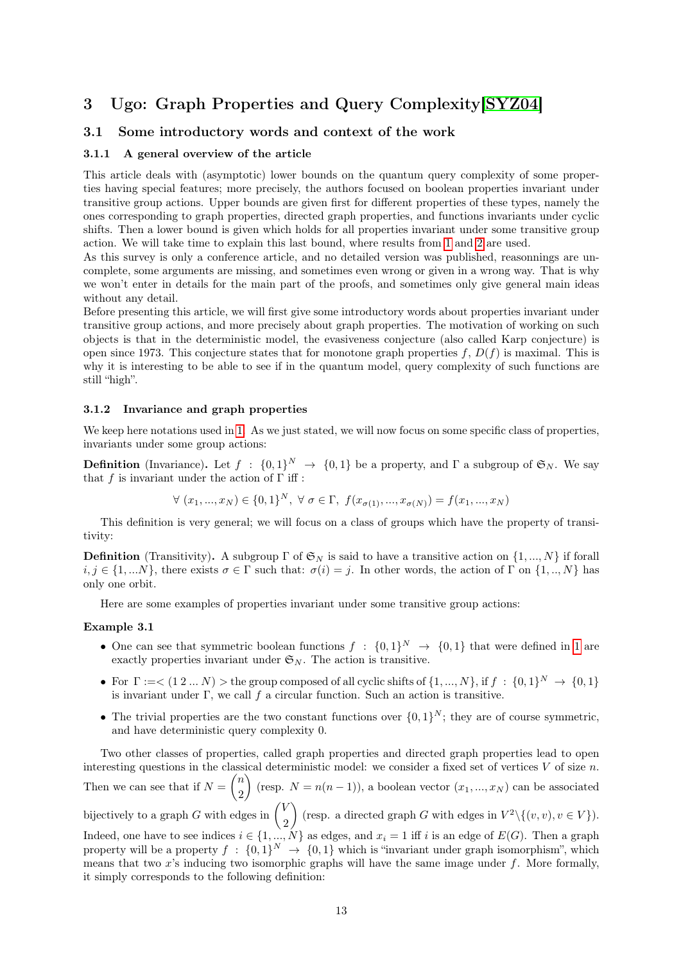# <span id="page-12-0"></span>3 Ugo: Graph Properties and Query Complexity[\[SYZ04\]](#page-17-2)

# <span id="page-12-1"></span>3.1 Some introductory words and context of the work

### <span id="page-12-2"></span>3.1.1 A general overview of the article

This article deals with (asymptotic) lower bounds on the quantum query complexity of some properties having special features; more precisely, the authors focused on boolean properties invariant under transitive group actions. Upper bounds are given first for different properties of these types, namely the ones corresponding to graph properties, directed graph properties, and functions invariants under cyclic shifts. Then a lower bound is given which holds for all properties invariant under some transitive group action. We will take time to explain this last bound, where results from [1](#page-2-0) and [2](#page-7-0) are used.

As this survey is only a conference article, and no detailed version was published, reasonnings are uncomplete, some arguments are missing, and sometimes even wrong or given in a wrong way. That is why we won't enter in details for the main part of the proofs, and sometimes only give general main ideas without any detail.

Before presenting this article, we will first give some introductory words about properties invariant under transitive group actions, and more precisely about graph properties. The motivation of working on such objects is that in the deterministic model, the evasiveness conjecture (also called Karp conjecture) is open since 1973. This conjecture states that for monotone graph properties  $f, D(f)$  is maximal. This is why it is interesting to be able to see if in the quantum model, query complexity of such functions are still "high".

#### <span id="page-12-3"></span>3.1.2 Invariance and graph properties

We keep here notations used in [1.](#page-2-0) As we just stated, we will now focus on some specific class of properties, invariants under some group actions:

**Definition** (Invariance). Let  $f : \{0,1\}^N \to \{0,1\}$  be a property, and  $\Gamma$  a subgroup of  $\mathfrak{S}_N$ . We say that f is invariant under the action of  $\Gamma$  iff :

$$
\forall (x_1, ..., x_N) \in \{0, 1\}^N, \ \forall \sigma \in \Gamma, \ f(x_{\sigma(1)}, ..., x_{\sigma(N)}) = f(x_1, ..., x_N)
$$

This definition is very general; we will focus on a class of groups which have the property of transitivity:

**Definition** (Transitivity). A subgroup  $\Gamma$  of  $\mathfrak{S}_N$  is said to have a transitive action on  $\{1, ..., N\}$  if forall  $i, j \in \{1, \dots N\}$ , there exists  $\sigma \in \Gamma$  such that:  $\sigma(i) = j$ . In other words, the action of  $\Gamma$  on  $\{1, \dots N\}$  has only one orbit.

Here are some examples of properties invariant under some transitive group actions:

#### Example 3.1

- One can see that symmetric boolean functions  $f : \{0,1\}^N \to \{0,1\}$  that were defined in [1](#page-2-0) are exactly properties invariant under  $\mathfrak{S}_N$ . The action is transitive.
- For  $\Gamma := <(1 2 ... N) >$  the group composed of all cyclic shifts of  $\{1, ..., N\}$ , if  $f : \{0, 1\}^N \to \{0, 1\}$ is invariant under  $\Gamma$ , we call f a circular function. Such an action is transitive.
- The trivial properties are the two constant functions over  $\{0,1\}^N$ ; they are of course symmetric, and have deterministic query complexity 0.

Two other classes of properties, called graph properties and directed graph properties lead to open interesting questions in the classical deterministic model: we consider a fixed set of vertices  $V$  of size  $n$ . Then we can see that if  $N = \binom{n}{2}$ 2 (resp.  $N = n(n-1)$ ), a boolean vector  $(x_1, ..., x_N)$  can be associated bijectively to a graph G with edges in  $\begin{pmatrix} V & 0 \\ 0 & 0 \end{pmatrix}$ 2 (resp. a directed graph G with edges in  $V^2 \setminus \{(v, v), v \in V\}$ ). Indeed, one have to see indices  $i \in \{1, ..., N\}$  as edges, and  $x_i = 1$  iff i is an edge of  $E(G)$ . Then a graph property will be a property  $f : \{0,1\}^N \to \{0,1\}$  which is "invariant under graph isomorphism", which means that two  $x$ 's inducing two isomorphic graphs will have the same image under  $f$ . More formally, it simply corresponds to the following definition: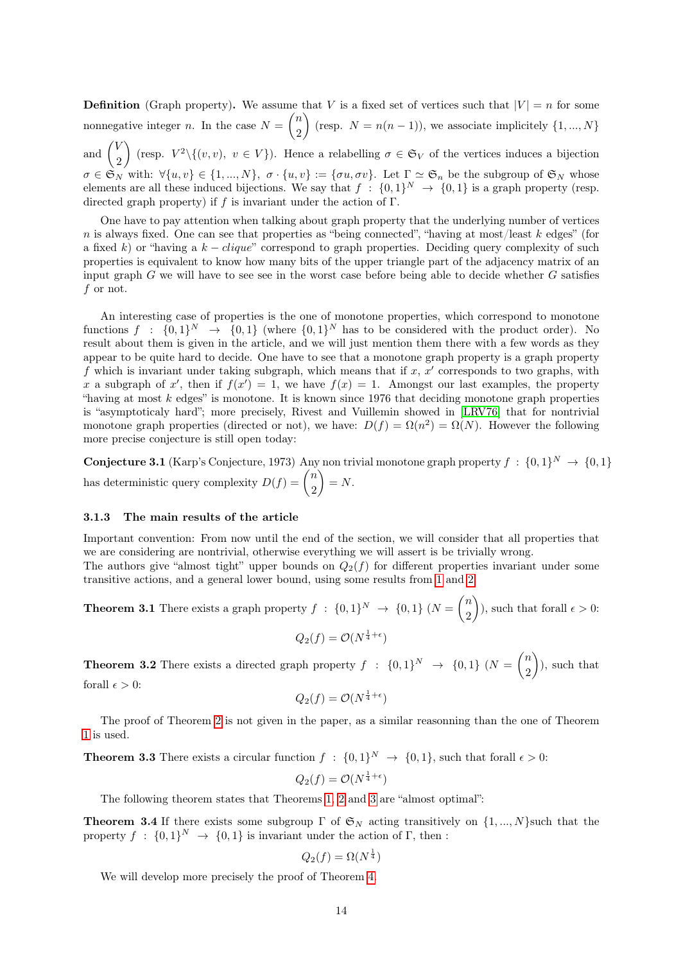**Definition** (Graph property). We assume that V is a fixed set of vertices such that  $|V| = n$  for some nonnegative integer *n*. In the case  $N = \binom{n}{2}$ 2 (resp.  $N = n(n-1)$ ), we associate implicitely  $\{1, ..., N\}$ and  $\begin{pmatrix} V \\ 0 \end{pmatrix}$ 2 (resp.  $V^2 \setminus \{(v, v), v \in V\}$ ). Hence a relabelling  $\sigma \in \mathfrak{S}_V$  of the vertices induces a bijection  $\sigma \in \mathfrak{S}_N$  with:  $\forall \{u, v\} \in \{1, ..., N\}, \ \sigma \cdot \{u, v\} := \{\sigma u, \sigma v\}.$  Let  $\Gamma \simeq \mathfrak{S}_n$  be the subgroup of  $\mathfrak{S}_N$  whose elements are all these induced bijections. We say that  $f : \{0,1\}^N \to \{0,1\}$  is a graph property (resp. directed graph property) if f is invariant under the action of  $\Gamma$ .

One have to pay attention when talking about graph property that the underlying number of vertices n is always fixed. One can see that properties as "being connected", "having at most/least k edges" (for a fixed k) or "having a  $k - clique$ " correspond to graph properties. Deciding query complexity of such properties is equivalent to know how many bits of the upper triangle part of the adjacency matrix of an input graph G we will have to see see in the worst case before being able to decide whether G satisfies f or not.

An interesting case of properties is the one of monotone properties, which correspond to monotone functions  $f : \{0,1\}^N \to \{0,1\}$  (where  $\{0,1\}^N$  has to be considered with the product order). No result about them is given in the article, and we will just mention them there with a few words as they appear to be quite hard to decide. One have to see that a monotone graph property is a graph property f which is invariant under taking subgraph, which means that if  $x, x'$  corresponds to two graphs, with x a subgraph of x', then if  $f(x') = 1$ , we have  $f(x) = 1$ . Amongst our last examples, the property "having at most  $k$  edges" is monotone. It is known since 1976 that deciding monotone graph properties is "asymptoticaly hard"; more precisely, Rivest and Vuillemin showed in [\[LRV76\]](#page-17-10) that for nontrivial monotone graph properties (directed or not), we have:  $D(f) = \Omega(n^2) = \Omega(N)$ . However the following more precise conjecture is still open today:

**Conjecture 3.1** (Karp's Conjecture, 1973) Any non trivial monotone graph property  $f : \{0,1\}^N \to \{0,1\}$ has deterministic query complexity  $D(f) = \binom{n}{2}$ 2  $\bigg) = N.$ 

# <span id="page-13-0"></span>3.1.3 The main results of the article

Important convention: From now until the end of the section, we will consider that all properties that we are considering are nontrivial, otherwise everything we will assert is be trivially wrong. The authors give "almost tight" upper bounds on  $Q_2(f)$  for different properties invariant under some transitive actions, and a general lower bound, using some results from [1](#page-2-0) and [2:](#page-7-0)

<span id="page-13-3"></span>**Theorem 3.1** There exists a graph property  $f : \{0,1\}^N \to \{0,1\}$   $(N = \binom{n}{k}$ 2  $\hat{\theta}$ , such that forall  $\epsilon > 0$ :

 $Q_2(f) = \mathcal{O}(N^{\frac{1}{4}+\epsilon})$ 

<span id="page-13-2"></span>**Theorem 3.2** There exists a directed graph property  $f : \{0,1\}^N \to \{0,1\}$   $(N = \binom{n}{0}^N$ 2 ), such that forall  $\epsilon > 0$ :

$$
Q_2(f) = \mathcal{O}(N^{\frac{1}{4} + \epsilon})
$$

The proof of Theorem [2](#page-13-2) is not given in the paper, as a similar reasonning than the one of Theorem [1](#page-13-3) is used.

<span id="page-13-4"></span>**Theorem 3.3** There exists a circular function  $f : \{0,1\}^N \to \{0,1\}$ , such that forall  $\epsilon > 0$ :

$$
Q_2(f) = \mathcal{O}(N^{\frac{1}{4} + \epsilon})
$$

The following theorem states that Theorems [1,](#page-13-3) [2](#page-13-2) and [3](#page-13-4) are "almost optimal":

<span id="page-13-1"></span>**Theorem 3.4** If there exists some subgroup  $\Gamma$  of  $\mathfrak{S}_N$  acting transitively on  $\{1, ..., N\}$ such that the property  $f : \{0,1\}^N \to \{0,1\}$  is invariant under the action of  $\Gamma$ , then :

$$
Q_2(f) = \Omega(N^{\frac{1}{4}})
$$

We will develop more precisely the proof of Theorem [4.](#page-13-1)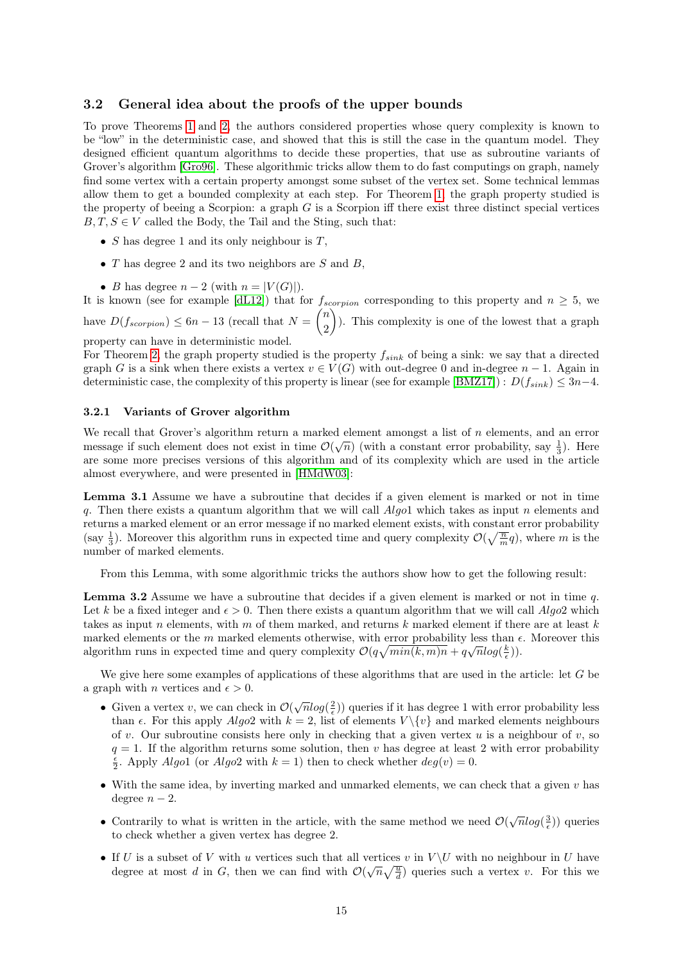### <span id="page-14-0"></span>3.2 General idea about the proofs of the upper bounds

To prove Theorems [1](#page-13-3) and [2,](#page-13-2) the authors considered properties whose query complexity is known to be "low" in the deterministic case, and showed that this is still the case in the quantum model. They designed efficient quantum algorithms to decide these properties, that use as subroutine variants of Grover's algorithm [\[Gro96\]](#page-17-3). These algorithmic tricks allow them to do fast computings on graph, namely find some vertex with a certain property amongst some subset of the vertex set. Some technical lemmas allow them to get a bounded complexity at each step. For Theorem [1,](#page-13-3) the graph property studied is the property of beeing a Scorpion: a graph  $G$  is a Scorpion iff there exist three distinct special vertices  $B, T, S \in V$  called the Body, the Tail and the Sting, such that:

- $S$  has degree 1 and its only neighbour is  $T$ ,
- $T$  has degree 2 and its two neighbors are  $S$  and  $B$ ,
- B has degree  $n-2$  (with  $n = |V(G)|$ ).

It is known (see for example [\[dL12\]](#page-17-11)) that for  $f_{scorpion}$  corresponding to this property and  $n \geq 5$ , we have  $D(f_{scorption}) \leq 6n - 13$  (recall that  $N = \binom{n}{2}$ 2 ). This complexity is one of the lowest that a graph property can have in deterministic model.

For Theorem [2,](#page-13-2) the graph property studied is the property  $f_{sink}$  of being a sink: we say that a directed graph G is a sink when there exists a vertex  $v \in V(G)$  with out-degree 0 and in-degree  $n-1$ . Again in deterministic case, the complexity of this property is linear (see for example [\[BMZ17\]](#page-17-12)) :  $D(f_{sink}) \leq 3n-4$ .

#### <span id="page-14-1"></span>3.2.1 Variants of Grover algorithm

We recall that Grover's algorithm return a marked element amongst a list of n elements, and an error message if such element does not exist in time  $\mathcal{O}(\sqrt{n})$  (with a constant error probability, say  $\frac{1}{3}$ ). Here are some more precises versions of this algorithm and of its complexity which are used in the article almost everywhere, and were presented in [\[HMdW03\]](#page-17-13):

Lemma 3.1 Assume we have a subroutine that decides if a given element is marked or not in time q. Then there exists a quantum algorithm that we will call  $A$ lgo1 which takes as input n elements and returns a marked element or an error message if no marked element exists, with constant error probability (say  $\frac{1}{3}$ ). Moreover this algorithm runs in expected time and query complexity  $\mathcal{O}(\sqrt{\frac{n}{m}}q)$ , where m is the number of marked elements.

From this Lemma, with some algorithmic tricks the authors show how to get the following result:

**Lemma 3.2** Assume we have a subroutine that decides if a given element is marked or not in time q. Let k be a fixed integer and  $\epsilon > 0$ . Then there exists a quantum algorithm that we will call  $Alqo2$  which takes as input n elements, with m of them marked, and returns  $k$  marked element if there are at least  $k$ marked elements or the m marked elements otherwise, with error probability less than  $\epsilon$ . Moreover this algorithm runs in expected time and query complexity  $\mathcal{O}(q\sqrt{min(k,m)n} + q\sqrt{n}\log(\frac{k}{\epsilon}))$ .

We give here some examples of applications of these algorithms that are used in the article: let G be a graph with *n* vertices and  $\epsilon > 0$ .

- Given a vertex v, we can check in  $\mathcal{O}(\sqrt{n}\log(\frac{2}{\epsilon}))$  queries if it has degree 1 with error probability less than  $\epsilon$ . For this apply  $Algo2$  with  $k = 2$ , list of elements  $V \setminus \{v\}$  and marked elements neighbours of v. Our subroutine consists here only in checking that a given vertex u is a neighbour of v, so  $q = 1$ . If the algorithm returns some solution, then v has degree at least 2 with error probability  $\frac{\epsilon}{2}$ . Apply Algo1 (or Algo2 with  $k = 1$ ) then to check whether  $deg(v) = 0$ .
- With the same idea, by inverting marked and unmarked elements, we can check that a given  $v$  has degree  $n-2$ .
- Contrarily to what is written in the article, with the same method we need  $\mathcal{O}(\sqrt{n}\log(\frac{3}{\epsilon}))$  queries to check whether a given vertex has degree 2.
- If U is a subset of V with u vertices such that all vertices v in  $V \setminus U$  with no neighbour in U have degree at most d in G, then we can find with  $\mathcal{O}(\sqrt{n}\sqrt{\frac{u}{d}})$  queries such a vertex v. For this we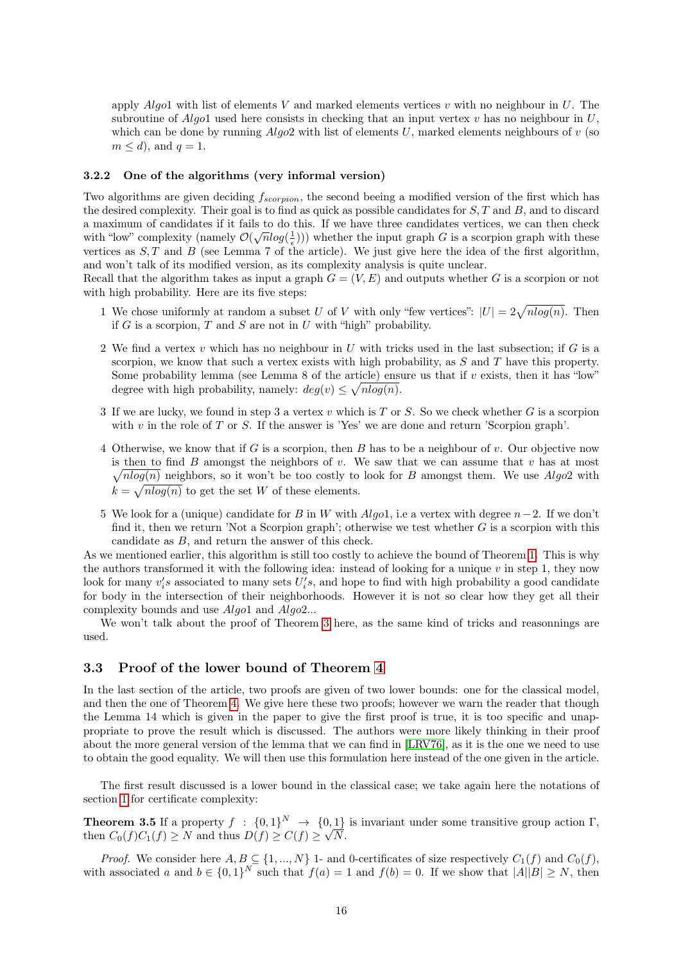apply  $Algo1$  with list of elements V and marked elements vertices v with no neighbour in U. The subroutine of Algo1 used here consists in checking that an input vertex  $v$  has no neighbour in  $U$ , which can be done by running  $Algo2$  with list of elements U, marked elements neighbours of v (so  $m \leq d$ , and  $q = 1$ .

#### <span id="page-15-0"></span>3.2.2 One of the algorithms (very informal version)

Two algorithms are given deciding  $f_{scorption}$ , the second beeing a modified version of the first which has the desired complexity. Their goal is to find as quick as possible candidates for  $S, T$  and  $B$ , and to discard a maximum of candidates if it fails to do this. If we have three candidates vertices, we can then check with "low" complexity (namely  $\mathcal{O}(\sqrt{n}\log(\frac{1}{\epsilon}))$ ) whether the input graph G is a scorpion graph with these vertices as  $S, T$  and  $B$  (see Lemma 7 of the article). We just give here the idea of the first algorithm, and won't talk of its modified version, as its complexity analysis is quite unclear.

Recall that the algorithm takes as input a graph  $G = (V, E)$  and outputs whether G is a scorpion or not with high probability. Here are its five steps:

- 1 We chose uniformly at random a subset U of V with only "few vertices":  $|U| = 2\sqrt{n \log(n)}$ . Then if  $G$  is a scorpion,  $T$  and  $S$  are not in  $U$  with "high" probability.
- 2 We find a vertex v which has no neighbour in U with tricks used in the last subsection; if  $G$  is a scorpion, we know that such a vertex exists with high probability, as  $S$  and  $T$  have this property. Some probability lemma (see Lemma 8 of the article) ensure us that if  $v$  exists, then it has "low" degree with high probability, namely:  $deg(v) \leq \sqrt{nlog(n)}$ .
- 3 If we are lucky, we found in step 3 a vertex v which is  $T$  or  $S$ . So we check whether  $G$  is a scorpion with  $v$  in the role of  $T$  or  $S$ . If the answer is 'Yes' we are done and return 'Scorpion graph'.
- 4 Otherwise, we know that if G is a scorpion, then B has to be a neighbour of v. Our objective now is then to find  $B$  amongst the neighbors of  $v$ . We saw that we can assume that  $v$  has at most  $\sqrt{nlog(n)}$  neighbors, so it won't be too costly to look for B amongst them. We use Algo2 with  $k = \sqrt{n \log(n)}$  to get the set W of these elements.
- 5 We look for a (unique) candidate for B in W with  $Algo1$ , i.e a vertex with degree  $n-2$ . If we don't find it, then we return 'Not a Scorpion graph'; otherwise we test whether  $G$  is a scorpion with this candidate as B, and return the answer of this check.

As we mentioned earlier, this algorithm is still too costly to achieve the bound of Theorem [1.](#page-13-3) This is why the authors transformed it with the following idea: instead of looking for a unique  $v$  in step 1, they now look for many  $v_i$ 's associated to many sets  $U_i$ 's, and hope to find with high probability a good candidate for body in the intersection of their neighborhoods. However it is not so clear how they get all their complexity bounds and use Algo1 and Algo2...

We won't talk about the proof of Theorem [3](#page-13-4) here, as the same kind of tricks and reasonnings are used.

# <span id="page-15-1"></span>3.3 Proof of the lower bound of Theorem [4](#page-13-1)

In the last section of the article, two proofs are given of two lower bounds: one for the classical model, and then the one of Theorem [4.](#page-13-1) We give here these two proofs; however we warn the reader that though the Lemma 14 which is given in the paper to give the first proof is true, it is too specific and unappropriate to prove the result which is discussed. The authors were more likely thinking in their proof about the more general version of the lemma that we can find in [\[LRV76\]](#page-17-10), as it is the one we need to use to obtain the good equality. We will then use this formulation here instead of the one given in the article.

The first result discussed is a lower bound in the classical case; we take again here the notations of section [1](#page-2-0) for certificate complexity:

**Theorem 3.5** If a property  $f : \{0,1\}^N \to \{0,1\}^N$  is invariant under some transitive group action  $\Gamma$ , then  $C_0(f)C_1(f) \geq N$  and thus  $D(f) \geq C(f) \geq \sqrt{N}$ .

*Proof.* We consider here  $A, B \subseteq \{1, ..., N\}$  1- and 0-certificates of size respectively  $C_1(f)$  and  $C_0(f)$ , with associated a and  $b \in \{0,1\}^N$  such that  $f(a) = 1$  and  $f(b) = 0$ . If we show that  $|A||B| \geq N$ , then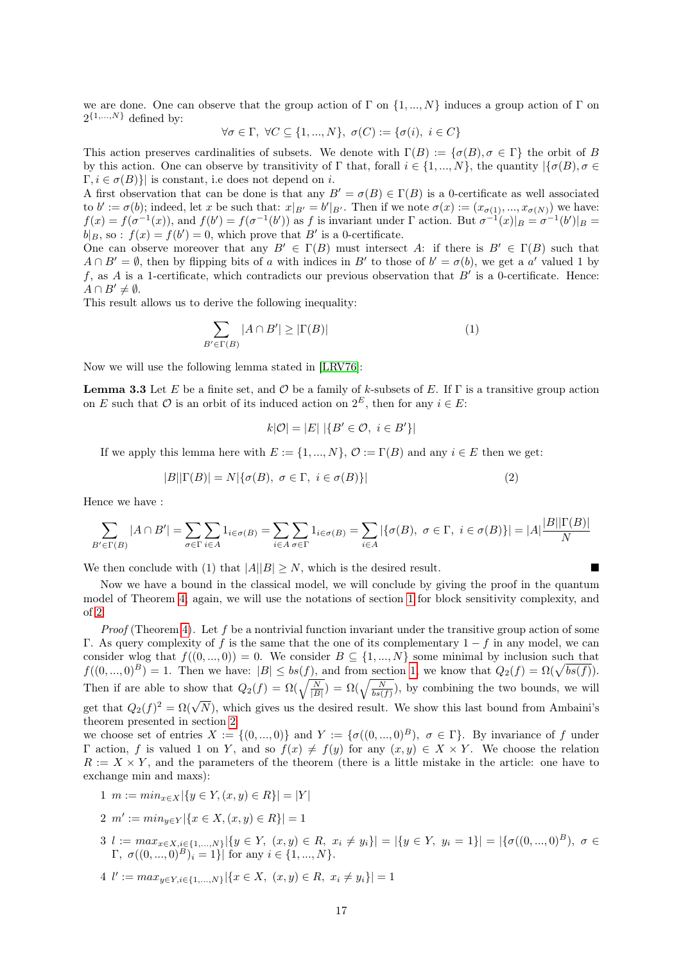we are done. One can observe that the group action of  $\Gamma$  on  $\{1, ..., N\}$  induces a group action of  $\Gamma$  on  $2^{\{1,\ldots,N\}}$  defined by:

$$
\forall \sigma \in \Gamma, \ \forall C \subseteq \{1, ..., N\}, \ \sigma(C) := \{\sigma(i), \ i \in C\}
$$

This action preserves cardinalities of subsets. We denote with  $\Gamma(B) := \{ \sigma(B), \sigma \in \Gamma \}$  the orbit of B by this action. One can observe by transitivity of Γ that, forall  $i \in \{1, ..., N\}$ , the quantity  $|\{\sigma(B), \sigma \in$  $\Gamma, i \in \sigma(B)$ } is constant, i.e does not depend on i.

A first observation that can be done is that any  $B' = \sigma(B) \in \Gamma(B)$  is a 0-certificate as well associated to  $b' := \sigma(b)$ ; indeed, let x be such that:  $x|_{B'} = b'|_{B'}$ . Then if we note  $\sigma(x) := (x_{\sigma(1)}, ..., x_{\sigma(N)})$  we have:  $f(x) = f(\sigma^{-1}(x))$ , and  $f(b') = f(\sigma^{-1}(b'))$  as f is invariant under  $\Gamma$  action. But  $\sigma^{-1}(x)|_B = \sigma^{-1}(b')|_B =$  $b|_B$ , so :  $f(x) = f(b') = 0$ , which prove that B' is a 0-certificate.

One can observe moreover that any  $B' \in \Gamma(B)$  must intersect A: if there is  $B' \in \Gamma(B)$  such that  $A \cap B' = \emptyset$ , then by flipping bits of a with indices in B' to those of  $b' = \sigma(b)$ , we get a a' valued 1 by f, as A is a 1-certificate, which contradicts our previous observation that  $B'$  is a 0-certificate. Hence:  $A \cap B' \neq \emptyset$ .

This result allows us to derive the following inequality:

$$
\sum_{B' \in \Gamma(B)} |A \cap B'| \ge |\Gamma(B)| \tag{1}
$$

Now we will use the following lemma stated in [\[LRV76\]](#page-17-10):

<span id="page-16-0"></span>**Lemma 3.3** Let E be a finite set, and O be a family of k-subsets of E. If  $\Gamma$  is a transitive group action on E such that O is an orbit of its induced action on  $2^E$ , then for any  $i \in E$ :

$$
k|\mathcal{O}| = |E| |\{B' \in \mathcal{O}, i \in B'\}|
$$

If we apply this lemma here with  $E := \{1, ..., N\}, \mathcal{O} := \Gamma(B)$  and any  $i \in E$  then we get:

$$
|B||\Gamma(B)| = N|\{\sigma(B), \ \sigma \in \Gamma, \ i \in \sigma(B)\}\
$$
\n<sup>(2)</sup>

Hence we have :

$$
\sum_{B' \in \Gamma(B)} |A \cap B'| = \sum_{\sigma \in \Gamma} \sum_{i \in A} 1_{i \in \sigma(B)} = \sum_{i \in A} \sum_{\sigma \in \Gamma} 1_{i \in \sigma(B)} = \sum_{i \in A} |\{\sigma(B), \ \sigma \in \Gamma, \ i \in \sigma(B)\}| = |A| \frac{|B||\Gamma(B)|}{N}
$$

We then conclude with (1) that  $|A||B| \geq N$ , which is the desired result.

Now we have a bound in the classical model, we will conclude by giving the proof in the quantum model of Theorem [4;](#page-13-1) again, we will use the notations of section [1](#page-2-0) for block sensitivity complexity, and of [2:](#page-7-0)

*Proof* (Theorem [4\)](#page-13-1). Let f be a nontrivial function invariant under the transitive group action of some Γ. As query complexity of f is the same that the one of its complementary  $1 - f$  in any model, we can consider wlog that  $f((0, ..., 0)) = 0$ . We consider  $B \subseteq \{1, ..., N\}$  some minimal by inclusion such that  $f((0, ..., 0)^B) = 1$ . Then we have:  $|B| \le bs(f)$ , and from section [1,](#page-2-0) we know that  $Q_2(f) = \Omega(\sqrt{bs(f)})$ . Then if are able to show that  $Q_2(f) = \Omega(\sqrt{\frac{N}{|B|}}) = \Omega(\sqrt{\frac{N}{bs(f)}})$ , by combining the two bounds, we will get that  $Q_2(f)^2 = \Omega(\sqrt{N})$ , which gives us the desired result. We show this last bound from Ambaini's theorem presented in section [2:](#page-7-0)

we choose set of entries  $X := \{(0, ..., 0)\}\$ and  $Y := \{\sigma((0, ..., 0)^B), \sigma \in \Gamma\}$ . By invariance of f under Γ action, f is valued 1 on Y, and so  $f(x) \neq f(y)$  for any  $(x, y) \in X \times Y$ . We choose the relation  $R := X \times Y$ , and the parameters of the theorem (there is a little mistake in the article: one have to exchange min and maxs):

- 1  $m := min_{x \in X} |\{y \in Y, (x, y) \in R\}| = |Y|$
- 2  $m' := min_{y \in Y} |\{x \in X, (x, y) \in R\}| = 1$
- $3 \; l := \max_{x \in X, i \in \{1, ..., N\}} |\{y \in Y, (x, y) \in R, x_i \neq y_i\}| = |\{y \in Y, y_i = 1\}| = |\{\sigma((0, ..., 0)^B), \sigma \in \mathbb{R}\}|$  $\Gamma, \sigma((0,...,0)^B)_i = 1$ } for any  $i \in \{1,...,N\}.$

4 
$$
l' := max_{y \in Y, i \in \{1, ..., N\}} |\{x \in X, (x, y) \in R, x_i \neq y_i\}| = 1
$$